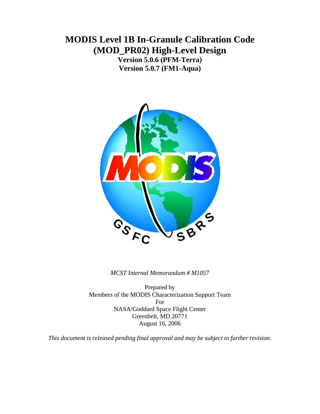# **MODIS Level 1B In-Granule Calibration Code (MOD\_PR02) High-Level Design**

**Version 5.0.6 (PFM-Terra) Version 5.0.7 (FM1-Aqua)**



*MCST Internal Memorandum # M1057* 

Prepared by Members of the MODIS Characterization Support Team For NASA/Goddard Space Flight Center Greenbelt, MD 20771 August 16, 2006

*This document is released pending final approval and may be subject to further revision.*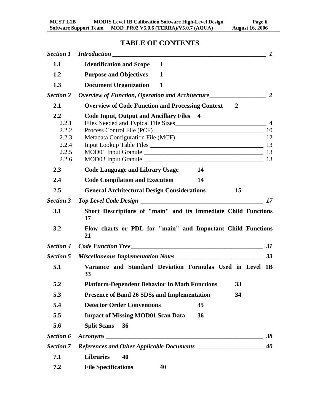# **TABLE OF CONTENTS**

|                                                               |                                                                                                                                                 | $\boldsymbol{l}$ |
|---------------------------------------------------------------|-------------------------------------------------------------------------------------------------------------------------------------------------|------------------|
| 1.1                                                           | <b>Identification and Scope</b><br>1                                                                                                            |                  |
| 1.2                                                           | <b>Purpose and Objectives</b><br>$\mathbf{1}$                                                                                                   |                  |
| 1.3                                                           | <b>Document Organization</b><br>$\mathbf{1}$                                                                                                    |                  |
| <b>Section 2</b>                                              |                                                                                                                                                 |                  |
| 2.1                                                           | <b>Overview of Code Function and Processing Context 2</b>                                                                                       |                  |
| $2.2\,$<br>2.2.1<br>2.2.2<br>2.2.3<br>2.2.4<br>2.2.5<br>2.2.6 | <b>Code Input, Output and Ancillary Files</b> 4<br>Files Needed and Typical File Sizes 14 Million 2014<br>MOD03 Input Granule 2012 2022 2023 13 | 10               |
| 2.3                                                           | <b>Code Language and Library Usage</b><br>14                                                                                                    |                  |
| 2.4                                                           | <b>Code Compilation and Execution</b><br>14                                                                                                     |                  |
| 2.5                                                           | <b>General Architectural Design Considerations</b><br>15                                                                                        |                  |
| <b>Section 3</b>                                              |                                                                                                                                                 | 17               |
| 3.1                                                           | Short Descriptions of "main" and its Immediate Child Functions<br>17                                                                            |                  |
| 3.2                                                           | Flow charts or PDL for "main" and Important Child Functions<br>21                                                                               |                  |
| <b>Section 4</b>                                              | Code Function Tree                                                                                                                              | 31               |
| <b>Section 5</b>                                              |                                                                                                                                                 | 33               |
| 5.1                                                           | Variance and Standard Deviation Formulas Used in Level 1B<br>33                                                                                 |                  |
| 5.2                                                           | <b>Platform-Dependent Behavior In Math Functions</b><br>33                                                                                      |                  |
| 5.3                                                           | <b>Presence of Band 26 SDSs and Implementation</b><br>34                                                                                        |                  |
| 5.4                                                           | <b>Detector Order Conventions</b><br>35                                                                                                         |                  |
| 5.5                                                           | <b>Impact of Missing MOD01 Scan Data</b><br>36                                                                                                  |                  |
| 5.6                                                           | <b>Split Scans</b><br>36                                                                                                                        |                  |
| <b>Section 6</b>                                              | A <b>cronyms</b>                                                                                                                                | 38               |
| <b>Section 7</b>                                              |                                                                                                                                                 | 40               |
| 7.1                                                           | <b>Libraries</b><br>40                                                                                                                          |                  |
| 7.2                                                           | <b>File Specifications</b><br>40                                                                                                                |                  |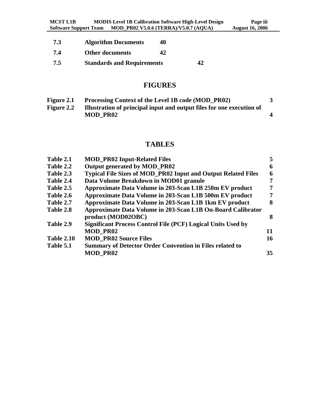| 7.3 | <b>Algorithm Documents</b>        | 40 |    |
|-----|-----------------------------------|----|----|
| 7.4 | <b>Other documents</b>            | 42 |    |
| 7.5 | <b>Standards and Requirements</b> |    | 42 |

# **FIGURES**

| Figure 2.1        | Processing Context of the Level 1B code (MOD PR02)                    |  |
|-------------------|-----------------------------------------------------------------------|--|
| <b>Figure 2.2</b> | Illustration of principal input and output files for one execution of |  |
|                   | MOD PR02                                                              |  |

# **TABLES**

| Table 2.1         | <b>MOD_PR02 Input-Related Files</b>                                  | 5  |
|-------------------|----------------------------------------------------------------------|----|
| Table 2.2         | Output generated by MOD_PR02                                         | 6  |
| Table 2.3         | <b>Typical File Sizes of MOD_PR02 Input and Output Related Files</b> | 6  |
| Table 2.4         | Data Volume Breakdown in MOD01 granule                               | 7  |
| Table 2.5         | Approximate Data Volume in 203-Scan L1B 250m EV product              | 7  |
| Table 2.6         | Approximate Data Volume in 203-Scan L1B 500m EV product              | 7  |
| Table 2.7         | Approximate Data Volume in 203-Scan L1B 1km EV product               | 8  |
| Table 2.8         | Approximate Data Volume in 203-Scan L1B On-Board Calibrator          |    |
|                   | product (MOD02OBC)                                                   | 8  |
| Table 2.9         | <b>Significant Process Control File (PCF) Logical Units Used by</b>  |    |
|                   | <b>MOD PR02</b>                                                      | 11 |
| <b>Table 2.10</b> | <b>MOD PR02 Source Files</b>                                         | 16 |
| Table 5.1         | <b>Summary of Detector Order Convention in Files related to</b>      |    |
|                   | <b>MOD PR02</b>                                                      | 35 |
|                   |                                                                      |    |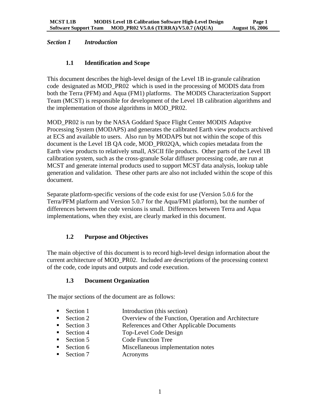#### <span id="page-3-0"></span>*Section 1 Introduction*

#### **1.1 Identification and Scope**

This document describes the high-level design of the Level 1B in-granule calibration code designated as MOD\_PR02 which is used in the processing of MODIS data from both the Terra (PFM) and Aqua (FM1) platforms. The MODIS Characterization Support Team (MCST) is responsible for development of the Level 1B calibration algorithms and the implementation of those algorithms in MOD\_PR02.

MOD\_PR02 is run by the NASA Goddard Space Flight Center MODIS Adaptive Processing System (MODAPS) and generates the calibrated Earth view products archived at ECS and available to users. Also run by MODAPS but not within the scope of this document is the Level 1B QA code, MOD\_PR02QA, which copies metadata from the Earth view products to relatively small, ASCII file products. Other parts of the Level 1B calibration system, such as the cross-granule Solar diffuser processing code, are run at MCST and generate internal products used to support MCST data analysis, lookup table generation and validation. These other parts are also not included within the scope of this document.

Separate platform-specific versions of the code exist for use (Version 5.0.6 for the Terra/PFM platform and Version 5.0.7 for the Aqua/FM1 platform), but the number of differences between the code versions is small. Differences between Terra and Aqua implementations, when they exist, are clearly marked in this document.

### **1.2 Purpose and Objectives**

The main objective of this document is to record high-level design information about the current architecture of MOD\_PR02. Included are descriptions of the processing context of the code, code inputs and outputs and code execution.

#### **1.3 Document Organization**

The major sections of the document are as follows:

- Section 1 Introduction (this section)
- Section 2 Overview of the Function, Operation and Architecture
- Section 3 References and Other Applicable Documents
- Section 4 Top-Level Code Design
- Section 5 Code Function Tree
- Section 6 Miscellaneous implementation notes
- Section 7 Acronyms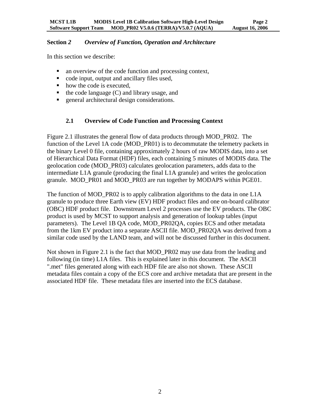#### <span id="page-4-0"></span>**Section** *2 Overview of Function, Operation and Architecture*

In this section we describe:

- an overview of the code function and processing context,
- code input, output and ancillary files used,
- how the code is executed,
- $\blacksquare$  the code language (C) and library usage, and
- **EXECUTE:** general architectural design considerations.

### **2.1 Overview of Code Function and Processing Context**

Figure 2.1 illustrates the general flow of data products through MOD\_PR02. The function of the Level 1A code (MOD\_PR01) is to decommutate the telemetry packets in the binary Level 0 file, containing approximately 2 hours of raw MODIS data, into a set of Hierarchical Data Format (HDF) files, each containing 5 minutes of MODIS data. The geolocation code (MOD\_PR03) calculates geolocation parameters, adds data to the intermediate L1A granule (producing the final L1A granule) and writes the geolocation granule. MOD\_PR01 and MOD\_PR03 are run together by MODAPS within PGE01.

The function of MOD\_PR02 is to apply calibration algorithms to the data in one L1A granule to produce three Earth view (EV) HDF product files and one on-board calibrator (OBC) HDF product file. Downstream Level 2 processes use the EV products. The OBC product is used by MCST to support analysis and generation of lookup tables (input parameters). The Level 1B QA code, MOD\_PR02QA, copies ECS and other metadata from the 1km EV product into a separate ASCII file. MOD\_PR02QA was derived from a similar code used by the LAND team, and will not be discussed further in this document.

Not shown in Figure 2.1 is the fact that MOD PR02 may use data from the leading and following (in time) L1A files. This is explained later in this document. The ASCII ".met" files generated along with each HDF file are also not shown. These ASCII metadata files contain a copy of the ECS core and archive metadata that are present in the associated HDF file. These metadata files are inserted into the ECS database.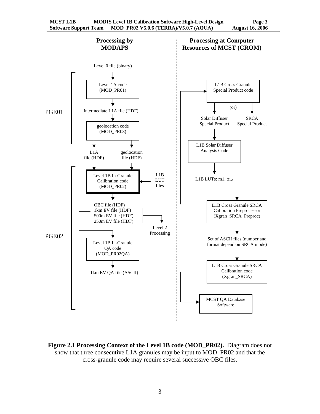

**Figure 2.1 Processing Context of the Level 1B code (MOD\_PR02).** Diagram does not show that three consecutive L1A granules may be input to MOD\_PR02 and that the cross-granule code may require several successive OBC files.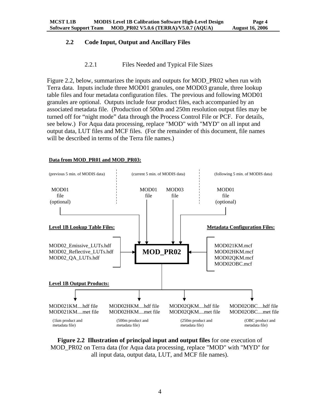## <span id="page-6-0"></span>**2.2 Code Input, Output and Ancillary Files**

#### 2.2.1 Files Needed and Typical File Sizes

Figure 2.2, below, summarizes the inputs and outputs for MOD\_PR02 when run with Terra data. Inputs include three MOD01 granules, one MOD03 granule, three lookup table files and four metadata configuration files. The previous and following MOD01 granules are optional. Outputs include four product files, each accompanied by an associated metadata file. (Production of 500m and 250m resolution output files may be turned off for "night mode" data through the Process Control File or PCF. For details, see below.) For Aqua data processing, replace "MOD" with "MYD" on all input and output data, LUT files and MCF files. (For the remainder of this document, file names will be described in terms of the Terra file names.)

#### **Data from MOD\_PR01 and MOD\_PR03:**



**Figure 2.2 Illustration of principal input and output files** for one execution of MOD\_PR02 on Terra data (for Aqua data processing, replace "MOD" with "MYD" for all input data, output data, LUT, and MCF file names).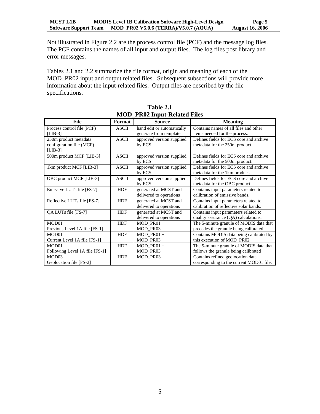Not illustrated in Figure 2.2 are the process control file (PCF) and the message log files. The PCF contains the names of all input and output files. The log files post library and error messages.

Tables 2.1 and 2.2 summarize the file format, origin and meaning of each of the MOD\_PR02 input and output related files. Subsequent subsections will provide more information about the input-related files. Output files are described by the file specifications.

| мов тие шрас-кстана гися       |              |                            |                                          |  |  |  |  |
|--------------------------------|--------------|----------------------------|------------------------------------------|--|--|--|--|
| File                           | Format       | <b>Source</b>              | <b>Meaning</b>                           |  |  |  |  |
| Process control file (PCF)     | <b>ASCII</b> | hand edit or automatically | Contains names of all files and other    |  |  |  |  |
| $[LIB-3]$                      |              | generate from template     | items needed for the process.            |  |  |  |  |
| 250m product metadata          | <b>ASCII</b> | approved version supplied  | Defines fields for ECS core and archive  |  |  |  |  |
| configuration file (MCF)       |              | by ECS                     | metadata for the 250m product.           |  |  |  |  |
| $[LIB-3]$                      |              |                            |                                          |  |  |  |  |
| 500m product MCF [LIB-3]       | <b>ASCII</b> | approved version supplied  | Defines fields for ECS core and archive  |  |  |  |  |
|                                |              | by ECS                     | metadata for the 500m product.           |  |  |  |  |
| 1km product MCF [LIB-3]        | <b>ASCII</b> | approved version supplied  | Defines fields for ECS core and archive  |  |  |  |  |
|                                |              | by ECS                     | metadata for the 1km product.            |  |  |  |  |
| OBC product MCF [LIB-3]        | <b>ASCII</b> | approved version supplied  | Defines fields for ECS core and archive  |  |  |  |  |
|                                |              | by ECS                     | metadata for the OBC product.            |  |  |  |  |
| Emissive LUTs file [FS-7]      | <b>HDF</b>   | generated at MCST and      | Contains input parameters related to     |  |  |  |  |
|                                |              | delivered to operations    | calibration of emissive bands.           |  |  |  |  |
| Reflective LUTs file [FS-7]    | <b>HDF</b>   | generated at MCST and      | Contains input parameters related to     |  |  |  |  |
|                                |              | delivered to operations    | calibration of reflective solar bands.   |  |  |  |  |
| QA LUTs file [FS-7]            | <b>HDF</b>   | generated at MCST and      | Contains input parameters related to     |  |  |  |  |
|                                |              | delivered to operations    | quality assurance (QA) calculations.     |  |  |  |  |
| MOD <sub>01</sub>              | <b>HDF</b>   | $MOD$ PR01 +               | The 5-minute granule of MODIS data that  |  |  |  |  |
| Previous Level 1A file [FS-1]  |              | MOD PR03                   | precedes the granule being calibrated    |  |  |  |  |
| MOD <sub>01</sub>              | <b>HDF</b>   | $MOD_PRO1 +$               | Contains MODIS data being calibrated by  |  |  |  |  |
| Current Level 1A file [FS-1]   |              | MOD_PR03                   | this execution of MOD_PR02               |  |  |  |  |
| MOD <sub>01</sub>              | <b>HDF</b>   | $MOD_PRO1 +$               | The 5-minute granule of MODIS data that  |  |  |  |  |
| Following Level 1A file [FS-1] |              | MOD_PR03                   | follows the granule being calibrated     |  |  |  |  |
| MOD <sub>03</sub>              | <b>HDF</b>   | MOD PR03                   | Contains refined geolocation data        |  |  |  |  |
| Geolocation file [FS-2]        |              |                            | corresponding to the current MOD01 file. |  |  |  |  |

**Table 2.1 MOD\_PR02 Input-Related Files**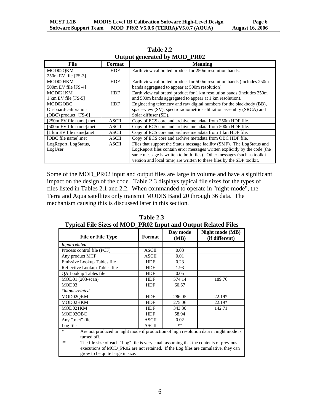| File                           | Format       | <b>Meaning</b>                                                             |
|--------------------------------|--------------|----------------------------------------------------------------------------|
| MOD02OKM                       | HDF          | Earth view calibrated product for 250m resolution bands.                   |
| 250m EV file [FS-3]            |              |                                                                            |
| MOD02HKM                       | <b>HDF</b>   | Earth view calibrated product for 500m resolution bands (includes 250m)    |
| $500m$ EV file [FS-4]          |              | bands aggregated to appear at 500m resolution).                            |
| MOD021KM                       | <b>HDF</b>   | Earth view calibrated product for 1 km resolution bands (includes 250m)    |
| $1 \text{ km }$ EV file [FS-5] |              | and 500m bands aggregated to appear at 1 km resolution).                   |
| MOD02OBC                       | <b>HDF</b>   | Engineering telemetry and raw digital numbers for the blackbody (BB),      |
| On-board-calibration           |              | space-view (SV), spectroradiometric calibration assembly (SRCA) and        |
| $(OBC)$ product $[FS-6]$       |              | Solar diffuser (SD).                                                       |
| [250m EV file name].met        | <b>ASCII</b> | Copy of ECS core and archive metadata from 250m HDF file.                  |
| [500m EV file name].met        | <b>ASCII</b> | Copy of ECS core and archive metadata from 500m HDF file.                  |
| [1 km EV file name].met        | ASCII        | Copy of ECS core and archive metadata from 1 km HDF file.                  |
| [OBC file name].met            | <b>ASCII</b> | Copy of ECS core and archive metadata from OBC HDF file.                   |
| LogReport, LogStatus,          | <b>ASCII</b> | Files that support the Status message facility (SMF). The LogStatus and    |
| LogUser                        |              | LogReport files contain error messages written explicitly by the code (the |
|                                |              | same message is written to both files). Other messages (such as toolkit    |
|                                |              | version and local time) are written to these files by the SDP toolkit.     |

**Table 2.2 Output generated by MOD\_PR02**

Some of the MOD\_PR02 input and output files are large in volume and have a significant impact on the design of the code. Table 2.3 displays typical file sizes for the types of files listed in Tables 2.1 and 2.2. When commanded to operate in "night-mode", the Terra and Aqua satellites only transmit MODIS Band 20 through 36 data. The mechanism causing this is discussed later in this section.

| Typical File Sizes of NiOD FR02 hiput and Output Related Files                                                                                                                                                          |              |                  |                                   |  |  |  |
|-------------------------------------------------------------------------------------------------------------------------------------------------------------------------------------------------------------------------|--------------|------------------|-----------------------------------|--|--|--|
| <b>File or File Type</b>                                                                                                                                                                                                | Format       | Day mode<br>(MB) | Night mode (MB)<br>(if different) |  |  |  |
| Input-related                                                                                                                                                                                                           |              |                  |                                   |  |  |  |
| Process control file (PCF)                                                                                                                                                                                              | <b>ASCII</b> | 0.03             |                                   |  |  |  |
| Any product MCF                                                                                                                                                                                                         | <b>ASCII</b> | 0.01             |                                   |  |  |  |
| Emissive Lookup Tables file                                                                                                                                                                                             | HDF          | 0.23             |                                   |  |  |  |
| Reflective Lookup Tables file                                                                                                                                                                                           | HDF          | 1.93             |                                   |  |  |  |
| QA Lookup Tables file                                                                                                                                                                                                   | <b>HDF</b>   | 0.05             |                                   |  |  |  |
| MOD01 (203-scan)                                                                                                                                                                                                        | HDF          | 574.14           | 189.76                            |  |  |  |
| MOD03                                                                                                                                                                                                                   | HDF          | 60.67            |                                   |  |  |  |
| Output-related                                                                                                                                                                                                          |              |                  |                                   |  |  |  |
| MOD02QKM                                                                                                                                                                                                                | <b>HDF</b>   | 286.05           | 22.19*                            |  |  |  |
| MOD02HKM                                                                                                                                                                                                                | <b>HDF</b>   | 275.06           | 22.19*                            |  |  |  |
| MOD021KM                                                                                                                                                                                                                | <b>HDF</b>   | 343.36           | 142.71                            |  |  |  |
| MOD02OBC                                                                                                                                                                                                                | <b>HDF</b>   | 58.94            |                                   |  |  |  |
| Any ".met" file                                                                                                                                                                                                         | <b>ASCII</b> | 0.02             |                                   |  |  |  |
| Log files                                                                                                                                                                                                               | <b>ASCII</b> | $***$            |                                   |  |  |  |
| $\ast$<br>Are not produced in night mode if production of high resolution data in night mode is<br>turned off.                                                                                                          |              |                  |                                   |  |  |  |
| The file size of each "Log" file is very small assuming that the contents of previous<br>$***$<br>executions of MOD_PR02 are not retained. If the Log files are cumulative, they can<br>grow to be quite large in size. |              |                  |                                   |  |  |  |

**Table 2.3 Typical File Sizes of MOD\_PR02 Input and Output Related Files**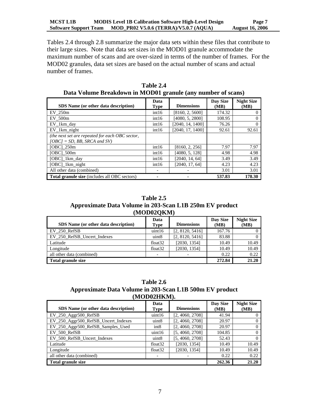Tables 2.4 through 2.8 summarize the major data sets within these files that contribute to their large sizes. Note that data set sizes in the MOD01 granule accommodate the maximum number of scans and are over-sized in terms of the number of frames. For the MOD02 granules, data set sizes are based on the actual number of scans and actual number of frames.

| $P^{\text{max}}$ , ording $P^{\text{max}}$ and $P^{\text{max}}$ or $P^{\text{max}}$ (and an additional depending |                          |                   |                  |                           |  |  |
|------------------------------------------------------------------------------------------------------------------|--------------------------|-------------------|------------------|---------------------------|--|--|
| SDS Name (or other data description)                                                                             | Data<br><b>Type</b>      | <b>Dimensions</b> | Day Size<br>(MB) | <b>Night Size</b><br>(MB) |  |  |
| EV 250m                                                                                                          | int16                    | [8160, 2, 5600]   | 174.32           | $\theta$                  |  |  |
| EV 500m                                                                                                          | int16                    | [4080, 5, 2800]   | 108.95           | $\theta$                  |  |  |
| EV_1km_day                                                                                                       | int16                    | [2040, 14, 1400]  | 76.26            | 0                         |  |  |
| EV 1km night                                                                                                     | int16                    | [2040, 17, 1400]  | 92.61            | 92.61                     |  |  |
| (the next set are repeated for each OBC sector,<br>$[OBC] = SD$ , BB, SRCA and SV)                               |                          |                   |                  |                           |  |  |
| $[OBC]$ 250m                                                                                                     | int16                    | [8160, 2, 256]    | 7.97             | 7.97                      |  |  |
| $[OBC]_{500m}$                                                                                                   | int16                    | [4080, 5, 128]    | 4.98             | 4.98                      |  |  |
| [OBC]_1km_day                                                                                                    | int16                    | [2040, 14, 64]    | 3.49             | 3.49                      |  |  |
| [OBC]_1km_night                                                                                                  | int16                    | [2040, 17, 64]    | 4.23             | 4.23                      |  |  |
| All other data (combined)                                                                                        | $\overline{\phantom{a}}$ |                   | 3.01             | 3.01                      |  |  |
| <b>Total granule size</b> (includes all OBC sectors)                                                             |                          |                   | 537.83           | 178.30                    |  |  |

**Table 2.4 Data Volume Breakdown in MOD01 granule (any number of scans)**

**Table 2.5 Approximate Data Volume in 203-Scan L1B 250m EV product (MOD02QKM)**

| SDS Name (or other data description) | Data<br>Type             | <b>Dimensions</b> | Day Size<br>(MB) | <b>Night Size</b><br>(MB) |
|--------------------------------------|--------------------------|-------------------|------------------|---------------------------|
| EV 250 RefSB                         | uint16                   | [2, 8120, 5416]   | 167.76           |                           |
| EV 250 RefSB Uncert Indexes          | uint <sub>8</sub>        | [2, 8120, 5416]   | 83.88            |                           |
| Latitude                             | float <sub>32</sub>      | [2030, 1354]      | 10.49            | 10.49                     |
| Longitude                            | float <sub>32</sub>      | [2030, 1354]      | 10.49            | 10.49                     |
| all other data (combined)            | $\overline{\phantom{0}}$ |                   | 0.22             | 0.22                      |
| Total granule size                   |                          | 272.84            | 21.20            |                           |

**Table 2.6 Approximate Data Volume in 203-Scan L1B 500m EV product (MOD02HKM).**

| SDS Name (or other data description) | Data<br><b>Type</b>      | <b>Dimensions</b> | Day Size<br>(MB) | <b>Night Size</b><br>(MB) |
|--------------------------------------|--------------------------|-------------------|------------------|---------------------------|
| $EV_250$ Aggr $500$ RefSB            | uint16                   | [2, 4060, 2708]   | 41.94            |                           |
| EV_250_Aggr500_RefSB_Uncert_Indexes  | uint8                    | [2, 4060, 2708]   | 20.97            |                           |
| EV_250_Aggr500_RefSB_Samples_Used    | int <sub>8</sub>         | [2, 4060, 2708]   | 20.97            |                           |
| EV 500 RefSB                         | uint16                   | [5, 4060, 2708]   | 104.85           |                           |
| EV_500_RefSB_Uncert_Indexes          | uint <sub>8</sub>        | [5, 4060, 2708]   | 52.43            |                           |
| Latitude                             | float <sub>32</sub>      | [2030, 1354]      | 10.49            | 10.49                     |
| Longitude                            | float <sub>32</sub>      | [2030, 1354]      | 10.49            | 10.49                     |
| all other data (combined)            | $\overline{\phantom{a}}$ |                   | 0.22             | 0.22                      |
| <b>Total granule size</b>            |                          |                   | 262.36           | 21.20                     |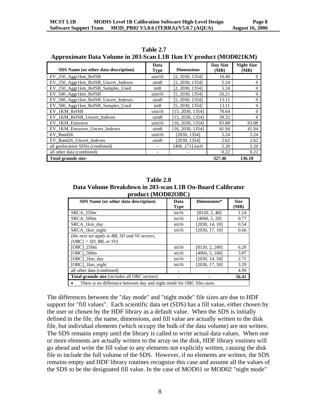| SDS Name (or other data description) | Data<br><b>Type</b>      | <b>Dimensions</b> | Day Size<br>(MB) | <b>Night Size</b><br>(MB) |
|--------------------------------------|--------------------------|-------------------|------------------|---------------------------|
| EV_250_Aggr1km_RefSB                 | uint16                   | [2, 2030, 1354]   | 10.49            | $\theta$                  |
| EV_250_Aggr1km_RefSB_Uncert_Indexes  | uint <sub>8</sub>        | [2, 2030, 1354]   | 5.24             | $\Omega$                  |
| EV_250_Aggr1km_RefSB_Samples_Used    | int <sub>8</sub>         | [2, 2030, 1354]   | 5.24             | $\Omega$                  |
| EV_500_Aggr1km_RefSB                 | uint16                   | [5, 2030, 1354]   | 26.21            | $\Omega$                  |
| EV_500_Aggr1km_RefSB_Uncert_Indexes  | uint <sub>8</sub>        | [5, 2030, 1354]   | 13.11            | $\Omega$                  |
| EV_500_Aggr1km_RefSB_Samples_Used    | int <sub>8</sub>         | [5, 2030, 1354]   | 13.11            | $\Omega$                  |
| EV 1KM RefSB                         | uint16                   | [15, 2030, 1354]  | 78.64            | $\Omega$                  |
| EV_1KM_RefSB_Uncert_Indexes          | uint <sub>8</sub>        | [15, 2030, 1354]  | 39.32            | $\Omega$                  |
| EV 1KM Emissive                      | uint16                   | [16, 2030, 1354]  | 83.88            | 83.88                     |
| EV_1KM_Emissive_Uncert_Indexes       | uint <sub>8</sub>        | [16, 2030, 1354]  | 41.94            | 41.94                     |
| EV Band26                            | uint16                   | [2030, 1354]      | 5.24             | 5.24                      |
| EV Band26 Uncert Indexes             | uint <sub>8</sub>        | [2030, 1354]      | 2.62             | 2.62                      |
| all geolocation SDSs (combined)      |                          | [406, 271] each   | 2.20             | 2.20                      |
| all other data (combined)            | $\overline{\phantom{a}}$ |                   | 0.22             | 0.22                      |
| Total granule size-                  |                          |                   | 327.46           | 136.10                    |

**Table 2.7 Approximate Data Volume in 203-Scan L1B 1km EV product (MOD021KM)**

**Table 2.8 Data Volume Breakdown in 203-scan L1B On-Board Calibrator product (MOD02OBC)**

| SDS Name (or other data description)                                   | Data        | Dimensions*    | <b>Size</b> |  |  |
|------------------------------------------------------------------------|-------------|----------------|-------------|--|--|
|                                                                        | <b>Type</b> |                | (MB)        |  |  |
| SRCA 250m                                                              | int16       | [8120, 2, 40]  | 1.24        |  |  |
| SRCA 500m                                                              | int16       | [4060, 5, 20]  | 0.77        |  |  |
| SRCA 1km day                                                           | int16       | [2030, 14, 10] | 0.54        |  |  |
| SRCA_1km_night                                                         | int16       | [2030, 17, 10] | 0.66        |  |  |
| (the next set apply to BB, SD and SV sectors,                          |             |                |             |  |  |
| $[OBC] = SD$ , BB, or SV)                                              |             |                |             |  |  |
| $[OBC]$ 250m                                                           | int16       | [8120, 2, 200] | 6.20        |  |  |
| [OBC] 500m                                                             | int16       | [4060, 5, 100] | 3.87        |  |  |
| [OBC] 1km day                                                          | int16       | [2030, 14, 50] | 2.71        |  |  |
| [OBC] 1km night                                                        | int16       | [2030, 17, 50] | 3.29        |  |  |
| all other data (combined)                                              |             |                | 4.99        |  |  |
| <b>Total granule size</b> (includes all OBC sectors)<br>56.41          |             |                |             |  |  |
| There is no difference between day and night mode for OBC files sizes. |             |                |             |  |  |

The differences between the "day mode" and "night mode" file sizes are due to HDF support for "fill values". Each scientific data set (SDS) has a fill value, either chosen by the user or chosen by the HDF library as a default value. When the SDS is initially defined in the file, the name, dimensions, and fill value are actually written to the disk file, but individual elements (which occupy the bulk of the data volume) are not written. The SDS remains empty until the library is called to write actual data values. When one or more elements are actually written to the array on the disk, HDF library routines will go ahead and write the fill value to any elements not explicitly written, causing the disk file to include the full volume of the SDS. However, if no elements are written, the SDS remains empty and HDF library routines recognize this case and assume all the values of the SDS to be the designated fill value. In the case of MOD01 or MOD02 "night mode"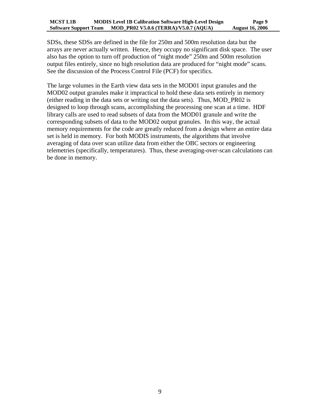SDSs, these SDSs are defined in the file for 250m and 500m resolution data but the arrays are never actually written. Hence, they occupy no significant disk space. The user also has the option to turn off production of "night mode" 250m and 500m resolution output files entirely, since no high resolution data are produced for "night mode" scans. See the discussion of the Process Control File (PCF) for specifics.

The large volumes in the Earth view data sets in the MOD01 input granules and the MOD02 output granules make it impractical to hold these data sets entirely in memory (either reading in the data sets or writing out the data sets). Thus, MOD\_PR02 is designed to loop through scans, accomplishing the processing one scan at a time. HDF library calls are used to read subsets of data from the MOD01 granule and write the corresponding subsets of data to the MOD02 output granules. In this way, the actual memory requirements for the code are greatly reduced from a design where an entire data set is held in memory. For both MODIS instruments, the algorithms that involve averaging of data over scan utilize data from either the OBC sectors or engineering telemetries (specifically, temperatures). Thus, these averaging-over-scan calculations can be done in memory.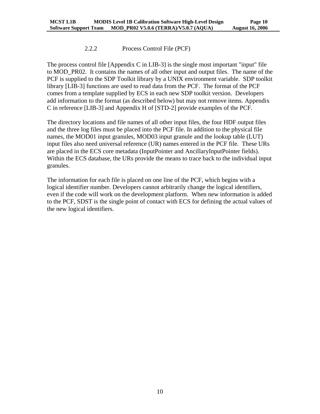#### 2.2.2 Process Control File (PCF)

<span id="page-12-0"></span>The process control file  $[Appendix C$  in LIB-3 $]$  is the single most important "input" file to MOD\_PR02. It contains the names of all other input and output files. The name of the PCF is supplied to the SDP Toolkit library by a UNIX environment variable. SDP toolkit library [LIB-3] functions are used to read data from the PCF. The format of the PCF comes from a template supplied by ECS in each new SDP toolkit version. Developers add information to the format (as described below) but may not remove items. Appendix C in reference [LIB-3] and Appendix H of [STD-2] provide examples of the PCF.

The directory locations and file names of all other input files, the four HDF output files and the three log files must be placed into the PCF file. In addition to the physical file names, the MOD01 input granules, MOD03 input granule and the lookup table (LUT) input files also need universal reference (UR) names entered in the PCF file. These URs are placed in the ECS core metadata (InputPointer and AncillaryInputPointer fields). Within the ECS database, the URs provide the means to trace back to the individual input granules.

The information for each file is placed on one line of the PCF, which begins with a logical identifier number. Developers cannot arbitrarily change the logical identifiers, even if the code will work on the development platform. When new information is added to the PCF, SDST is the single point of contact with ECS for defining the actual values of the new logical identifiers.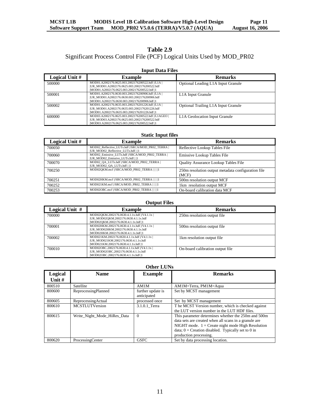## **Table 2.9** Significant Process Control File (PCF) Logical Units Used by MOD\_PR02

#### **Input Data Files**

| Logical Unit # | <b>Example</b>                                                                                                                                         | <b>Remarks</b>                             |
|----------------|--------------------------------------------------------------------------------------------------------------------------------------------------------|--------------------------------------------|
| 500000         | MOD01.A2002176.0625.003.2002176200522.hdf  /L1A  <br> UR_MOD01.A2002176.0625.003.2002176200522.hdf<br> MOD01.A2002176.0625.003.2002176200522.hdf  1    | Optional Leading L1A Input Granule         |
| 500001         | MOD01.A2002176.0630.003.2002176200906.hdf  /L1A  <br> UR_MOD01.A2002176.0630.003.2002176200906.hdf<br> MOD01.A2002176.0630.003.2002176200906.hdf  1    | L <sub>1</sub> A Input Granule             |
| 500002         | MOD01.A2002176.0635.003.2002176201226.hdf  /L1A  <br> UR_MOD01.A2002176.0635.003.2002176201226.hdf<br> MOD01.A2002176.0635.003.2002176201226.hdf  1    | <b>Optional Trailing L1A Input Granule</b> |
| 600000         | MOD03.A2002176.0625.003.2002176200522.hdf  /L1AGEO  <br> UR_MOD03.A2002176.0625.003.2002176200522.hdf<br> MOD03.A2002176.0625.003.2002176200522.hdf  1 | L1A Geolocation Input Granule              |

#### **Static Input files**

| Logical Unit # | <b>Example</b>                                                                          | <b>Remarks</b>                                              |
|----------------|-----------------------------------------------------------------------------------------|-------------------------------------------------------------|
| 700050         | MOD02 Reflective LUTs.hdf //SRCA/MOD PR02 TERRA  <br>[UR MOD02 Reflective LUTs.hdf    1 | Reflective Lookup Tables File                               |
| 700060         | MOD02 Emissive LUTs.hdf //SRCA/MOD PR02 TERRA  <br> UR MOD02 Emissive LUTs.hdf    1     | Emissive Lookup Tables File                                 |
| 700070         | MOD02 QA LUTs.hdf  /SRCA/MOD PR02 TERRA  <br> UR MOD02 QA LUTs.hdf    1                 | <b>Ouality Assurance Lookup Tables File</b>                 |
| 700250         | MOD02QKM.mcf //SRCA/MOD PR02 TERRA         1                                            | 250m resolution output metadata configuration file<br>(MCF) |
| 700251         | MOD02HKM.mcf //SRCA/MOD PR02 TERRA         1                                            | 500m resolution output MCF                                  |
| 700252         | MOD021KM.mcf //SRCA/MOD PR02 TERRA         1                                            | 1km resolution output MCF                                   |
| 700253         | MOD02OBC.mcf //SRCA/MOD PR02 TERRA         1                                            | On-board calibration data MCF                               |

#### **Output Files**

| Logical Unit $#$ | <b>Example</b>                                                                                                               | <b>Remarks</b>                   |
|------------------|------------------------------------------------------------------------------------------------------------------------------|----------------------------------|
| 700000           | MOD02QKM.2002176.0630.4.1.1x.hdf  /V4.1.1x  <br>[UR_MOD02QKM.2002176.0630.4.1.1x.hdf<br> MOD02QKM.2002176.0630.4.1.1x.hdf  1 | 250m resolution output file      |
| 700001           | MOD02HKM.2002176.0630.4.1.1x.hdf  /V4.1.1x  <br>[UR MOD02HKM.2002176.0630.4.1.1x.hdf<br> MOD02HKM.2002176.0630.4.1.1x.hdf  1 | 500m resolution output file      |
| 700002           | MOD021KM.2002176.0630.4.1.1x.hdf  /V4.1.1x  <br>[UR MOD021KM.2002176.0630.4.1.1x.hdf<br> MOD021KM.2002176.0630.4.1.1x.hdf  1 | 1km resolution output file       |
| 700010           | MOD02OBC.2002176.0630.4.1.1x.hdf  /V4.1.1x  <br>[UR MOD02OBC.2002176.0630.4.1.1x.hdf<br> MOD02OBC.2002176.0630.4.1.1x.hdf  1 | On-board calibration output file |

| <b>Other LUNs</b>   |                             |                                  |                                                                                                                                                                                                                                                       |
|---------------------|-----------------------------|----------------------------------|-------------------------------------------------------------------------------------------------------------------------------------------------------------------------------------------------------------------------------------------------------|
| Logical<br>Unit $#$ | <b>Name</b>                 | <b>Example</b>                   | <b>Remarks</b>                                                                                                                                                                                                                                        |
| 800510              | Satellite                   | AM1M                             | AM1M=Terra, PM1M=Aqua                                                                                                                                                                                                                                 |
| 800600              | <b>ReprocessingPlanned</b>  | further update is<br>anticipated | Set by MCST management                                                                                                                                                                                                                                |
| 800605              | ReprocessingActual          | processed once                   | Set by MCST management                                                                                                                                                                                                                                |
| 800610              | <b>MCSTLUTVersion</b>       | 3.1.0.1 Terra                    | T he MCST Version number, which is checked against<br>the LUT version number in the LUT HDF files.                                                                                                                                                    |
| 800615              | Write Night Mode HiRes Data | $\Omega$                         | This parameter determines whether the 250m and 500m<br>data sets are created when all scans in a granule are<br>NIGHT mode. $1 =$ Create night mode High Resolution<br>data; $0 =$ Creation disabled. Typically set to 0 in<br>production processing. |
| 800620              | ProcessingCenter            | <b>GSFC</b>                      | Set by data processing location.                                                                                                                                                                                                                      |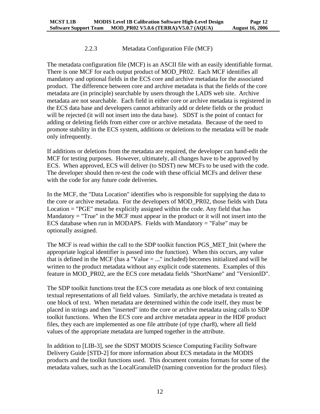#### 2.2.3 Metadata Configuration File (MCF)

<span id="page-14-0"></span>The metadata configuration file (MCF) is an ASCII file with an easily identifiable format. There is one MCF for each output product of MOD\_PR02. Each MCF identifies all mandatory and optional fields in the ECS core and archive metadata for the associated product. The difference between core and archive metadata is that the fields of the core metadata are (in principle) searchable by users through the LADS web site. Archive metadata are not searchable. Each field in either core or archive metadata is registered in the ECS data base and developers cannot arbitrarily add or delete fields or the product will be rejected (it will not insert into the data base). SDST is the point of contact for adding or deleting fields from either core or archive metadata. Because of the need to promote stability in the ECS system, additions or deletions to the metadata will be made only infrequently.

If additions or deletions from the metadata are required, the developer can hand-edit the MCF for testing purposes. However, ultimately, all changes have to be approved by ECS. When approved, ECS will deliver (to SDST) new MCFs to be used with the code. The developer should then re-test the code with these official MCFs and deliver these with the code for any future code deliveries.

In the MCF, the "Data Location" identifies who is responsible for supplying the data to the core or archive metadata. For the developers of MOD\_PR02, those fields with Data Location = "PGE" must be explicitly assigned within the code. Any field that has Mandatory  $=$  "True" in the MCF must appear in the product or it will not insert into the ECS database when run in MODAPS. Fields with Mandatory = "False" may be optionally assigned.

The MCF is read within the call to the SDP toolkit function PGS\_MET\_Init (where the appropriate logical identifier is passed into the function). When this occurs, any value that is defined in the MCF (has a "Value = ..." included) becomes initialized and will be written to the product metadata without any explicit code statements. Examples of this feature in MOD\_PR02, are the ECS core metadata fields "ShortName" and "VersionID".

The SDP toolkit functions treat the ECS core metadata as one block of text containing textual representations of all field values. Similarly, the archive metadata is treated as one block of text. When metadata are determined within the code itself, they must be placed in strings and then "inserted" into the core or archive metadata using calls to SDP toolkit functions. When the ECS core and archive metadata appear in the HDF product files, they each are implemented as one file attribute (of type char8), where all field values of the appropriate metadata are lumped together in the attribute.

In addition to [LIB-3], see the SDST MODIS Science Computing Facility Software Delivery Guide [STD-2] for more information about ECS metadata in the MODIS products and the toolkit functions used. This document contains formats for some of the metadata values, such as the LocalGranuleID (naming convention for the product files).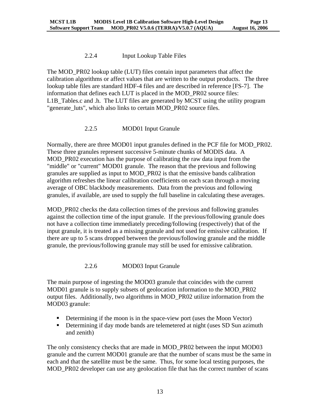#### 2.2.4 Input Lookup Table Files

<span id="page-15-0"></span>The MOD\_PR02 lookup table (LUT) files contain input parameters that affect the calibration algorithms or affect values that are written to the output products. The three lookup table files are standard HDF-4 files and are described in reference [FS-7]. The information that defines each LUT is placed in the MOD\_PR02 source files: L1B Tables.c and .h. The LUT files are generated by MCST using the utility program "generate\_luts", which also links to certain MOD\_PR02 source files.

#### 2.2.5 MOD01 Input Granule

Normally, there are three MOD01 input granules defined in the PCF file for MOD PR02. These three granules represent successive 5-minute chunks of MODIS data. A MOD\_PR02 execution has the purpose of calibrating the raw data input from the "middle" or "current" MOD01 granule. The reason that the previous and following granules are supplied as input to MOD\_PR02 is that the emissive bands calibration algorithm refreshes the linear calibration coefficients on each scan through a moving average of OBC blackbody measurements. Data from the previous and following granules, if available, are used to supply the full baseline in calculating these averages.

MOD\_PR02 checks the data collection times of the previous and following granules against the collection time of the input granule. If the previous/following granule does not have a collection time immediately preceding/following (respectively) that of the input granule, it is treated as a missing granule and not used for emissive calibration. If there are up to 5 scans dropped between the previous/following granule and the middle granule, the previous/following granule may still be used for emissive calibration.

#### 2.2.6 MOD03 Input Granule

The main purpose of ingesting the MOD03 granule that coincides with the current MOD01 granule is to supply subsets of geolocation information to the MOD\_PR02 output files. Additionally, two algorithms in MOD\_PR02 utilize information from the MOD03 granule:

- Determining if the moon is in the space-view port (uses the Moon Vector)
- Determining if day mode bands are telemetered at night (uses SD Sun azimuth and zenith)

The only consistency checks that are made in MOD\_PR02 between the input MOD03 granule and the current MOD01 granule are that the number of scans must be the same in each and that the satellite must be the same. Thus, for some local testing purposes, the MOD PR02 developer can use any geolocation file that has the correct number of scans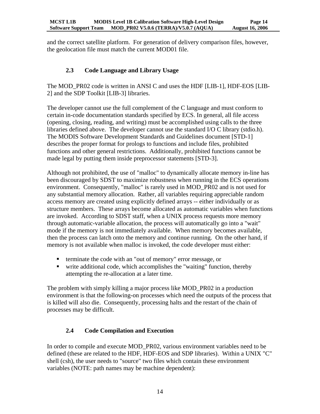<span id="page-16-0"></span>and the correct satellite platform. For generation of delivery comparison files, however, the geolocation file must match the current MOD01 file.

## **2.3 Code Language and Library Usage**

The MOD\_PR02 code is written in ANSI C and uses the HDF [LIB-1], HDF-EOS [LIB-2] and the SDP Toolkit [LIB-3] libraries.

The developer cannot use the full complement of the C language and must conform to certain in-code documentation standards specified by ECS. In general, all file access (opening, closing, reading, and writing) must be accomplished using calls to the three libraries defined above. The developer cannot use the standard I/O C library (stdio.h). The MODIS Software Development Standards and Guidelines document [STD-1] describes the proper format for prologs to functions and include files, prohibited functions and other general restrictions. Additionally, prohibited functions cannot be made legal by putting them inside preprocessor statements [STD-3].

Although not prohibited, the use of "malloc" to dynamically allocate memory in-line has been discouraged by SDST to maximize robustness when running in the ECS operations environment. Consequently, "malloc" is rarely used in MOD\_PR02 and is not used for any substantial memory allocation. Rather, all variables requiring appreciable random access memory are created using explicitly defined arrays -- either individually or as structure members. These arrays become allocated as automatic variables when functions are invoked. According to SDST staff, when a UNIX process requests more memory through automatic-variable allocation, the process will automatically go into a "wait" mode if the memory is not immediately available. When memory becomes available, then the process can latch onto the memory and continue running. On the other hand, if memory is not available when malloc is invoked, the code developer must either:

- **terminate the code with an "out of memory" error message, or**
- write additional code, which accomplishes the "waiting" function, thereby attempting the re-allocation at a later time.

The problem with simply killing a major process like MOD\_PR02 in a production environment is that the following-on processes which need the outputs of the process that is killed will also die. Consequently, processing halts and the restart of the chain of processes may be difficult.

# **2.4 Code Compilation and Execution**

In order to compile and execute MOD\_PR02, various environment variables need to be defined (these are related to the HDF, HDF-EOS and SDP libraries). Within a UNIX "C" shell (csh), the user needs to "source" two files which contain these environment variables (NOTE: path names may be machine dependent):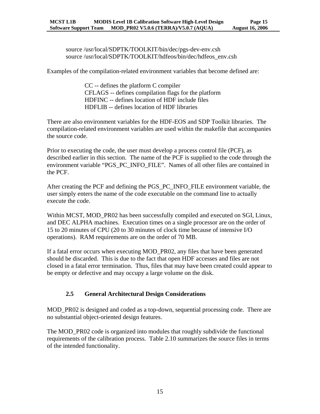<span id="page-17-0"></span>source /usr/local/SDPTK/TOOLKIT/bin/dec/pgs-dev-env.csh source /usr/local/SDPTK/TOOLKIT/hdfeos/bin/dec/hdfeos\_env.csh

Examples of the compilation-related environment variables that become defined are:

CC -- defines the platform C compiler CFLAGS -- defines compilation flags for the platform HDFINC -- defines location of HDF include files HDFLIB -- defines location of HDF libraries

There are also environment variables for the HDF-EOS and SDP Toolkit libraries. The compilation-related environment variables are used within the makefile that accompanies the source code.

Prior to executing the code, the user must develop a process control file (PCF), as described earlier in this section. The name of the PCF is supplied to the code through the environment variable "PGS\_PC\_INFO\_FILE". Names of all other files are contained in the PCF.

After creating the PCF and defining the PGS\_PC\_INFO\_FILE environment variable, the user simply enters the name of the code executable on the command line to actually execute the code.

Within MCST, MOD\_PR02 has been successfully compiled and executed on SGI, Linux, and DEC ALPHA machines. Execution times on a single processor are on the order of 15 to 20 minutes of CPU (20 to 30 minutes of clock time because of intensive I/O operations). RAM requirements are on the order of 70 MB.

If a fatal error occurs when executing MOD\_PR02, any files that have been generated should be discarded. This is due to the fact that open HDF accesses and files are not closed in a fatal error termination. Thus, files that may have been created could appear to be empty or defective and may occupy a large volume on the disk.

### **2.5 General Architectural Design Considerations**

MOD\_PR02 is designed and coded as a top-down, sequential processing code. There are no substantial object-oriented design features.

The MOD\_PR02 code is organized into modules that roughly subdivide the functional requirements of the calibration process. Table 2.10 summarizes the source files in terms of the intended functionality.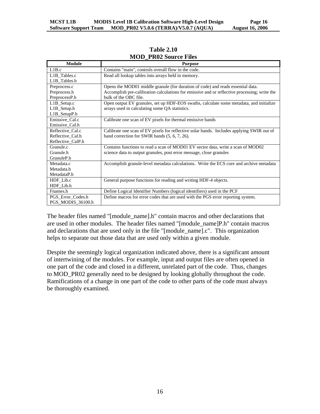| <b>Module</b>     | <b>Purpose</b>                                                                               |
|-------------------|----------------------------------------------------------------------------------------------|
| L1B.c             | Contains "main", controls overall flow in the code.                                          |
| L1B_Tables.c      | Read all lookup tables into arrays held in memory.                                           |
| L1B Tables.h      |                                                                                              |
| Preprocess.c      | Opens the MOD01 middle granule (for duration of code) and reads essential data.              |
| Preprocess.h      | Accomplish pre-calibration calculations for emissive and or reflective processing; write the |
| PreprocessP.h     | bulk of the OBC file.                                                                        |
| $L1B$ Setup.c     | Open output EV granules, set up HDF-EOS swaths, calculate some metadata, and initialize      |
| $L1B$ Setup.h     | arrays used in calculating some QA statistics.                                               |
| L1B_SetupP.h      |                                                                                              |
| Emissive_Cal.c    | Calibrate one scan of EV pixels for thermal emissive bands                                   |
| Emissive_Cal.h    |                                                                                              |
| Reflective Cal.c  | Calibrate one scan of EV pixels for reflective solar bands. Includes applying SWIR out of    |
| Reflective Cal.h  | band correction for SWIR bands (5, 6, 7, 26).                                                |
| Reflective_CalP.h |                                                                                              |
| Granule.c         | Contains functions to read a scan of MOD01 EV sector data, write a scan of MOD02             |
| Granule.h         | science data to output granules, post error message, close granules                          |
| GranuleP.h        |                                                                                              |
| Metadata.c        | Accomplish granule-level metadata calculations. Write the ECS core and archive metadata      |
| Metadata.h        |                                                                                              |
| MetadataP.h       |                                                                                              |
| HDF_Lib.c         | General purpose functions for reading and writing HDF-4 objects.                             |
| HDF_Lib.h         |                                                                                              |
| Fnames.h          | Define Logical Identifier Numbers (logical identifiers) used in the PCF                      |
| PGS_Error_Codes.h | Define macros for error codes that are used with the PGS error reporting system.             |
| PGS_MODIS_36100.h |                                                                                              |

#### **Table 2.10 MOD\_PR02 Source Files**

The header files named "[module\_name].h" contain macros and other declarations that are used in other modules. The header files named "[module\_name]P.h" contain macros and declarations that are used only in the file "[module\_name].c". This organization helps to separate out those data that are used only within a given module.

Despite the seemingly logical organization indicated above, there is a significant amount of intertwining of the modules. For example, input and output files are often opened in one part of the code and closed in a different, unrelated part of the code. Thus, changes to MOD PR02 generally need to be designed by looking globally throughout the code. Ramifications of a change in one part of the code to other parts of the code must always be thoroughly examined.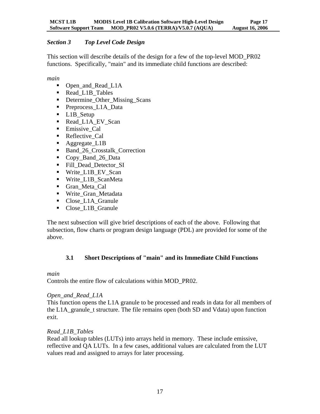### <span id="page-19-0"></span>*Section 3 Top Level Code Design*

This section will describe details of the design for a few of the top-level MOD\_PR02 functions. Specifically, "main" and its immediate child functions are described:

*main* 

- Open\_and\_Read\_L1A
- Read L1B Tables
- Determine\_Other\_Missing\_Scans
- Preprocess\_L1A\_Data
- L1B\_Setup
- Read\_L1A\_EV\_Scan
- **Emissive Cal**
- Reflective Cal
- Aggregate\_L1B
- Band\_26\_Crosstalk\_Correction
- Copy\_Band\_26\_Data
- Fill Dead Detector SI
- Write\_L1B\_EV\_Scan
- Write\_L1B\_ScanMeta
- Gran\_Meta\_Cal
- Write\_Gran\_Metadata
- Close L1A Granule
- Close\_L1B\_Granule

The next subsection will give brief descriptions of each of the above. Following that subsection, flow charts or program design language (PDL) are provided for some of the above.

# **3.1 Short Descriptions of "main" and its Immediate Child Functions**

*main* 

Controls the entire flow of calculations within MOD\_PR02.

### *Open\_and\_Read\_L1A*

This function opens the L1A granule to be processed and reads in data for all members of the L1A\_granule\_t structure. The file remains open (both SD and Vdata) upon function exit.

### *Read\_L1B\_Tables*

Read all lookup tables (LUTs) into arrays held in memory. These include emissive, reflective and QA LUTs. In a few cases, additional values are calculated from the LUT values read and assigned to arrays for later processing.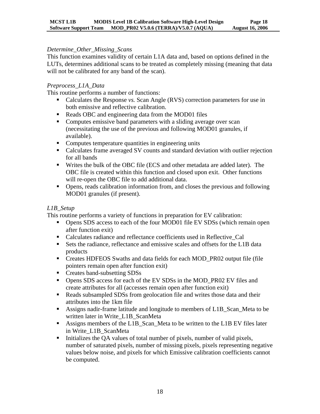#### *Determine\_Other\_Missing\_Scans*

This function examines validity of certain L1A data and, based on options defined in the LUTs, determines additional scans to be treated as completely missing (meaning that data will not be calibrated for any band of the scan).

#### *Preprocess\_L1A\_Data*

This routine performs a number of functions:

- Calculates the Response *vs*. Scan Angle (RVS) correction parameters for use in both emissive and reflective calibration.
- Reads OBC and engineering data from the MOD01 files
- Computes emissive band parameters with a sliding average over scan (necessitating the use of the previous and following MOD01 granules, if available).
- **•** Computes temperature quantities in engineering units
- Calculates frame averaged SV counts and standard deviation with outlier rejection for all bands
- Writes the bulk of the OBC file (ECS and other metadata are added later). The OBC file is created within this function and closed upon exit. Other functions will re-open the OBC file to add additional data.
- Opens, reads calibration information from, and closes the previous and following MOD01 granules (if present).

#### *L1B\_Setup*

This routine performs a variety of functions in preparation for EV calibration:

- Opens SDS access to each of the four MOD01 file EV SDSs (which remain open after function exit)
- Calculates radiance and reflectance coefficients used in Reflective\_Cal
- Sets the radiance, reflectance and emissive scales and offsets for the L1B data products
- Creates HDFEOS Swaths and data fields for each MOD\_PR02 output file (file pointers remain open after function exit)
- Creates band-subsetting SDSs
- Opens SDS access for each of the EV SDSs in the MOD\_PR02 EV files and create attributes for all (accesses remain open after function exit)
- Reads subsampled SDSs from geolocation file and writes those data and their attributes into the 1km file
- Assigns nadir-frame latitude and longitude to members of L1B Scan Meta to be written later in Write\_L1B\_ScanMeta
- Assigns members of the L1B\_Scan\_Meta to be written to the L1B EV files later in Write\_L1B\_ScanMeta
- Initializes the OA values of total number of pixels, number of valid pixels, number of saturated pixels, number of missing pixels, pixels representing negative values below noise, and pixels for which Emissive calibration coefficients cannot be computed.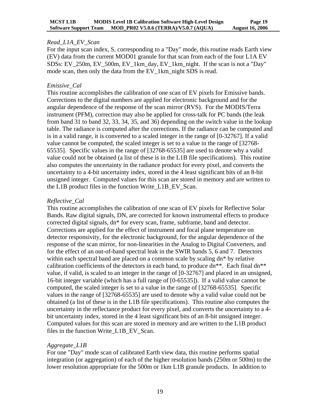#### *Read\_L1A\_EV\_Scan*

For the input scan index, S, corresponding to a "Day" mode, this routine reads Earth view (EV) data from the current MOD01 granule for that scan from each of the four L1A EV SDSs: EV\_250m, EV\_500m, EV\_1km\_day, EV\_1km\_night. If the scan is not a "Day" mode scan, then only the data from the EV\_1km\_night SDS is read.

#### *Emissive\_Cal*

This routine accomplishes the calibration of one scan of EV pixels for Emissive bands. Corrections to the digital numbers are applied for electronic background and for the angular dependence of the response of the scan mirror (RVS). For the MODIS/Terra instrument (PFM), correction may also be applied for cross-talk for PC bands (the leak from band 31 to band 32, 33, 34, 35, and 36) depending on the switch value in the lookup table. The radiance is computed after the corrections. If the radiance can be computed and is in a valid range, it is converted to a scaled integer in the range of [0-32767]. If a valid value cannot be computed, the scaled integer is set to a value in the range of [32768- 65535]. Specific values in the range of [32768-65535] are used to denote why a valid value could not be obtained (a list of these is in the L1B file specifications). This routine also computes the uncertainty in the radiance product for every pixel, and converts the uncertainty to a 4-bit uncertainty index, stored in the 4 least significant bits of an 8-bit unsigned integer. Computed values for this scan are stored in memory and are written to the L1B product files in the function Write\_L1B\_EV\_Scan.

#### *Reflective\_Cal*

This routine accomplishes the calibration of one scan of EV pixels for Reflective Solar Bands. Raw digital signals, DN, are corrected for known instrumental effects to produce corrected digital signals, dn\* for every scan, frame, subframe, band and detector. Corrections are applied for the effect of instrument and focal plane temperature on detector responsivity, for the electronic background, for the angular dependence of the response of the scan mirror, for non-linearities in the Analog to Digital Converters, and for the effect of an out-of-band spectral leak in the SWIR bands 5, 6 and 7. Detectors within each spectral band are placed on a common scale by scaling dn\* by relative calibration coefficients of the detectors in each band, to produce  $dn^{**}$ . Each final  $dn^{**}$ value, if valid, is scaled to an integer in the range of [0-32767] and placed in an unsigned, 16-bit integer variable (which has a full range of [0-65535]). If a valid value cannot be computed, the scaled integer is set to a value in the range of [32768-65535]. Specific values in the range of [32768-65535] are used to denote why a valid value could not be obtained (a list of these is in the L1B file specifications). This routine also computes the uncertainty in the reflectance product for every pixel, and converts the uncertainty to a 4 bit uncertainty index, stored in the 4 least significant bits of an 8-bit unsigned integer. Computed values for this scan are stored in memory and are written to the L1B product files in the function Write L1B EV Scan.

### *Aggregate\_L1B*

For one "Day" mode scan of calibrated Earth view data, this routine performs spatial integration (or aggregation) of each of the higher resolution bands (250m or 500m) to the lower resolution appropriate for the 500m or 1km L1B granule products. In addition to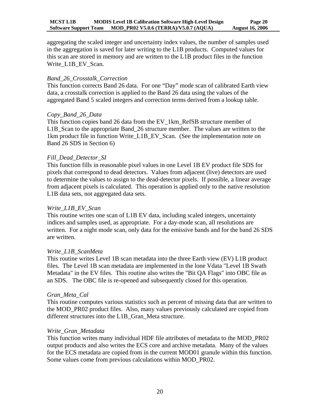aggregating the scaled integer and uncertainty index values, the number of samples used in the aggregation is saved for later writing to the L1B products. Computed values for this scan are stored in memory and are written to the L1B product files in the function Write\_L1B\_EV\_Scan.

#### *Band\_26\_Crosstalk\_Correction*

This function corrects Band 26 data. For one "Day" mode scan of calibrated Earth view data, a crosstalk correction is applied to the Band 26 data using the values of the aggregated Band 5 scaled integers and correction terms derived from a lookup table.

#### *Copy\_Band\_26\_Data*

This function copies band 26 data from the EV\_1km\_RefSB structure member of L1B\_Scan to the appropriate Band\_26 structure member. The values are written to the 1km product file in function Write\_L1B\_EV\_Scan. (See the implementation note on Band 26 SDS in Section 6)

#### *Fill\_Dead\_Detector\_SI*

This function fills in reasonable pixel values in one Level 1B EV product file SDS for pixels that correspond to dead detectors. Values from adjacent (live) detectors are used to determine the values to assign to the dead-detector pixels. If possible, a linear average from adjacent pixels is calculated. This operation is applied only to the native resolution L1B data sets, not aggregated data sets.

#### *Write\_L1B\_EV\_Scan*

This routine writes one scan of L1B EV data, including scaled integers, uncertainty indices and samples used, as appropriate. For a day-mode scan, all resolutions are written. For a night mode scan, only data for the emissive bands and for the band 26 SDS are written.

#### *Write\_L1B\_ScanMeta*

This routine writes Level 1B scan metadata into the three Earth view (EV) L1B product files. The Level 1B scan metadata are implemented in the lone Vdata "Level 1B Swath Metadata" in the EV files. This routine also writes the "Bit QA Flags" into OBC file as an SDS. The OBC file is re-opened and subsequently closed for this operation.

#### *Gran\_Meta\_Cal*

This routine computes various statistics such as percent of missing data that are written to the MOD\_PR02 product files. Also, many values previously calculated are copied from different structures into the L1B\_Gran\_Meta structure.

#### *Write\_Gran\_Metadata*

This function writes many individual HDF file attributes of metadata to the MOD\_PR02 output products and also writes the ECS core and archive metadata. Many of the values for the ECS metadata are copied from in the current MOD01 granule within this function. Some values come from previous calculations within MOD\_PR02.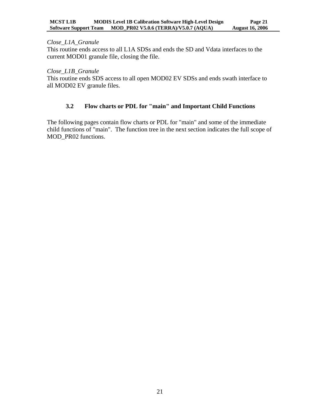#### <span id="page-23-0"></span>*Close\_L1A\_Granule*

This routine ends access to all L1A SDSs and ends the SD and Vdata interfaces to the current MOD01 granule file, closing the file.

#### *Close\_L1B\_Granule*

This routine ends SDS access to all open MOD02 EV SDSs and ends swath interface to all MOD02 EV granule files.

#### **3.2 Flow charts or PDL for "main" and Important Child Functions**

The following pages contain flow charts or PDL for "main" and some of the immediate child functions of "main". The function tree in the next section indicates the full scope of MOD\_PR02 functions.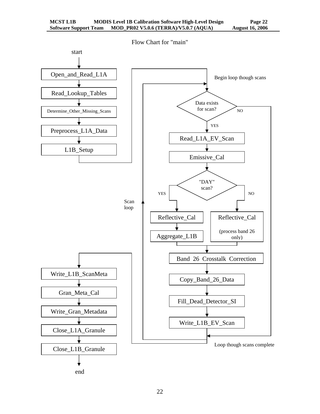

<u>22</u>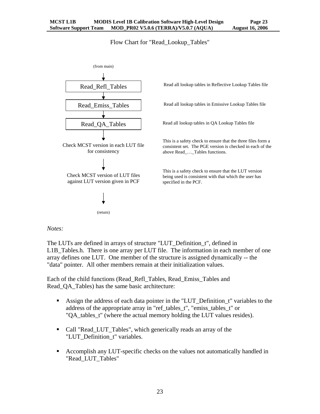#### Flow Chart for "Read\_Lookup\_Tables"



*Notes:* 

The LUTs are defined in arrays of structure "LUT\_Definition\_t", defined in L1B\_Tables.h. There is one array per LUT file. The information in each member of one array defines one LUT. One member of the structure is assigned dynamically -- the "data" pointer. All other members remain at their initialization values.

Each of the child functions (Read\_Refl\_Tables, Read\_Emiss\_Tables and Read\_QA\_Tables) has the same basic architecture:

- Assign the address of each data pointer in the "LUT\_Definition\_t" variables to the address of the appropriate array in "ref\_tables\_t", "emiss\_tables\_t" or "QA\_tables\_t" (where the actual memory holding the LUT values resides).
- Call "Read\_LUT\_Tables", which generically reads an array of the "LUT\_Definition\_t" variables.
- Accomplish any LUT-specific checks on the values not automatically handled in "Read\_LUT\_Tables"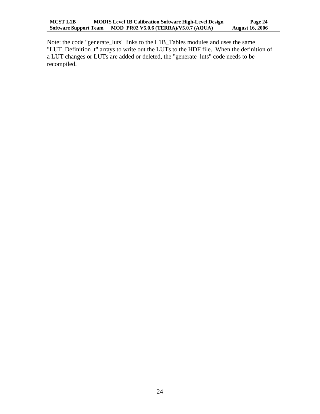Note: the code "generate\_luts" links to the L1B\_Tables modules and uses the same "LUT\_Definition\_t" arrays to write out the LUTs to the HDF file. When the definition of a LUT changes or LUTs are added or deleted, the "generate\_luts" code needs to be recompiled.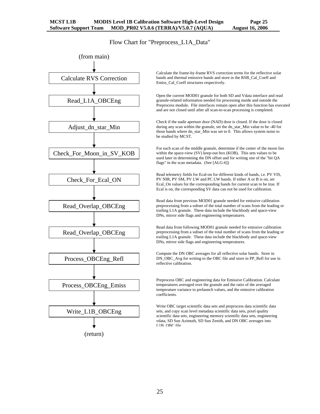Flow Chart for "Preprocess\_L1A\_Data"



Calculate the frame-by-frame RVS correction terms for the reflective solar bands and thermal emissive bands and store in the RSB\_Cal\_Coeff and Emiss\_Cal\_Coeff structures respectively.

Open the current MOD01 granule for both SD and Vdata interface and read granule-related information needed for processing inside and outside the Preprocess module. File interfaces remain open after this function has executed and are not closed until after all scan-to-scan processing is completed.

Check if the nadir aperture door (NAD) door is closed. If the door is closed during any scan within the granule, set the dn\_star\_Min value to be -40 for those bands where dn\_star\_Min was set to 0. This allows system noise to be studied by MCST.

For each scan of the middle granule, determine if the center of the moon lies within the space-view (SV) keep-out box (KOB). This sets values to be used later in determining the DN offset and for writing one of the "bit QA flags" in the scan metadata. (See [ALG-6])

Read telemetry fields for Ecal-on for different kinds of bands, i.e. PV VIS, PV NIR, PV SM, PV LW and PC LW bands. If either A or B is on, set Ecal\_On values for the corresponding bands for current scan to be true. If Ecal is on, the corresponding SV data can not be used for calibration.

Read data from previous MOD01 granule needed for emissive calibration preprocessing from a subset of the total number of scans from the leading or trailing L1A granule. These data include the blackbody and space-view DNs, mirror side flags and engineering temperatures.

Read data from following MOD01 granule needed for emissive calibration preprocessing from a subset of the total number of scans from the leading or trailing L1A granule. These data include the blackbody and space-view DNs, mirror side flags and engineering temperatures.

Compute the DN OBC averages for all reflective solar bands. Store in DN\_OBC\_Avg for writing to the OBC file and store in PP\_Refl for use in reflective calibration.

Preprocess OBC and engineering data for Emissive Calibration. Calculate temperatures averaged over the granule and the ratio of the averaged temperature variance to prelaunch values, and the emissive calibration coefficients.

Write OBC target scientific data sets and preprocess data scientific data sets, and copy scan level metadata scientific data sets, pixel quality scientific data sets, engineering memory scientific data sets, engineering vdata, SD Sun Azimuth, SD Sun Zenith, and DN OBC averages into L1B OBC file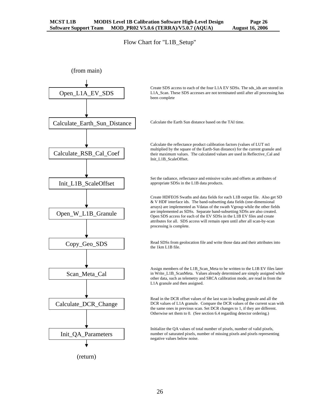Flow Chart for "L1B\_Setup"

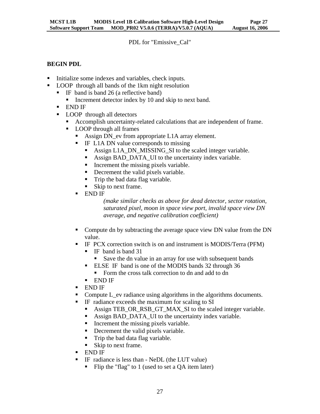PDL for "Emissive\_Cal"

### **BEGIN PDL**

- Initialize some indexes and variables, check inputs.
- **LOOP** through all bands of the 1km night resolution
	- IF band is band 26 (a reflective band)
		- Increment detector index by 10 and skip to next band.
	- END IF
	- **LOOP** through all detectors
		- Accomplish uncertainty-related calculations that are independent of frame.
		- **LOOP** through all frames
			- Assign DN ev from appropriate L1A array element.
			- **IF L1A DN value corresponds to missing** 
				- Assign L1A\_DN\_MISSING\_SI to the scaled integer variable.
				- Assign BAD\_DATA\_UI to the uncertainty index variable.
				- Increment the missing pixels variable.
				- Decrement the valid pixels variable.
				- Trip the bad data flag variable.
				- Skip to next frame.
			- END IF

*(make similar checks as above for dead detector, sector rotation, saturated pixel, moon in space view port, invalid space view DN average, and negative calibration coefficient)* 

- Compute dn by subtracting the average space view DN value from the DN value.
- IF PCX correction switch is on and instrument is MODIS/Terra (PFM)
	- IF band is band 31
		- Save the dn value in an array for use with subsequent bands
	- **ELSE IF band is one of the MODIS bands 32 through 36** 
		- Form the cross talk correction to dn and add to dn
	- END IF
- END IF
- Compute L ev radiance using algorithms in the algorithms documents.
	- IF radiance exceeds the maximum for scaling to SI
		- Assign TEB\_OR\_RSB\_GT\_MAX\_SI to the scaled integer variable.
		- Assign BAD\_DATA\_UI to the uncertainty index variable.
		- Increment the missing pixels variable.
		- Decrement the valid pixels variable.
		- Trip the bad data flag variable.
		- Skip to next frame.
- END IF
- IF radiance is less than NeDL (the LUT value)
	- Flip the "flag" to 1 (used to set a QA item later)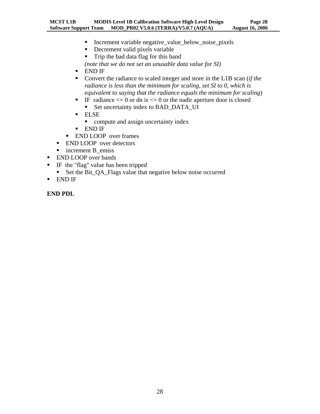- Increment variable negative\_value\_below\_noise\_pixels
- Decrement valid pixels variable
- Trip the bad data flag for this band *(note that we do not set an unusable data value for SI)*
- END IF
- Convert the radiance to scaled integer and store in the L1B scan (*if the radiance is less than the minimum for scaling, set SI to 0, which is equivalent to saying that the radiance equals the minimum for scaling*)
- IF radiance  $\leq 0$  or dn is  $\leq 0$  or the nadir aperture door is closed
	- Set uncertainty index to BAD\_DATA\_UI
- ELSE
	- compute and assign uncertainty index
- END IF
- **END LOOP** over frames
- **END LOOP** over detectors
- increment B emiss
- **END LOOP** over bands
- IF the "flag" value has been tripped
	- Set the Bit\_QA\_Flags value that negative below noise occurred
- END IF

**END PDL**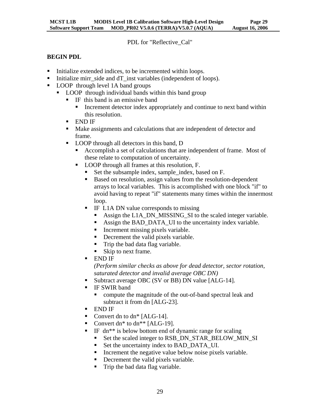PDL for "Reflective\_Cal"

## **BEGIN PDL**

- Initialize extended indices, to be incremented within loops.
- Initialize mirr\_side and dT\_inst variables (independent of loops).
- LOOP through level 1A band groups
	- LOOP through individual bands within this band group
		- $\blacksquare$  IF this band is an emissive band
			- Increment detector index appropriately and continue to next band within this resolution.
		- END IF
		- Make assignments and calculations that are independent of detector and frame.
		- **LOOP** through all detectors in this band, D
			- Accomplish a set of calculations that are independent of frame. Most of these relate to computation of uncertainty.
			- LOOP through all frames at this resolution, F.
				- Set the subsample index, sample index, based on F.
				- Based on resolution, assign values from the resolution-dependent arrays to local variables. This is accomplished with one block "if" to avoid having to repeat "if" statements many times within the innermost loop.
				- **IF L1A DN value corresponds to missing** 
					- Assign the L1A\_DN\_MISSING\_SI to the scaled integer variable.
					- Assign the BAD\_DATA\_UI to the uncertainty index variable.
					- Increment missing pixels variable.
					- Decrement the valid pixels variable.
					- Trip the bad data flag variable.
					- Skip to next frame.
				- END IF

*(Perform similar checks as above for dead detector, sector rotation, saturated detector and invalid average OBC DN)*

- Subtract average OBC (SV or BB) DN value [ALG-14].
- **IF SWIR band** 
	- compute the magnitude of the out-of-band spectral leak and subtract it from dn [ALG-23].
- END IF
- Convert dn to dn\* [ALG-14].
- Convert dn\* to dn\*\* [ALG-19].
- IF dn\*\* is below bottom end of dynamic range for scaling
	- Set the scaled integer to RSB\_DN\_STAR\_BELOW\_MIN\_SI
	- Set the uncertainty index to BAD\_DATA\_UI.
	- **Increment the negative value below noise pixels variable.**
	- Decrement the valid pixels variable.
	- Trip the bad data flag variable.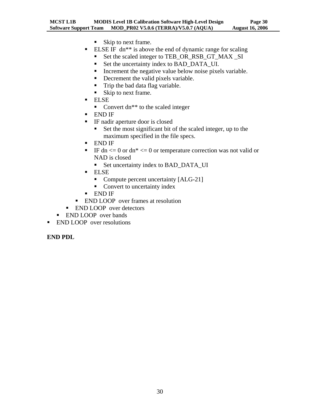- Skip to next frame.
- **ELSE IF** dn<sup>\*\*</sup> is above the end of dynamic range for scaling
	- Set the scaled integer to TEB\_OR\_RSB\_GT\_MAX \_SI
	- Set the uncertainty index to BAD\_DATA\_UI.
	- Increment the negative value below noise pixels variable.
	- Decrement the valid pixels variable.
	- Trip the bad data flag variable.
	- Skip to next frame.
- ELSE
	- Convert dn\*\* to the scaled integer
- END IF
- IF nadir aperture door is closed
	- Set the most significant bit of the scaled integer, up to the maximum specified in the file specs.
- END IF
- IF dn  $\leq$  0 or dn\*  $\leq$  0 or temperature correction was not valid or NAD is closed
	- Set uncertainty index to BAD\_DATA\_UI
- **ELSE** 
	- Compute percent uncertainty [ALG-21]
	- Convert to uncertainty index
- END IF
- **END LOOP** over frames at resolution
- **END LOOP** over detectors
- END LOOP over bands
- **END LOOP** over resolutions

#### **END PDL**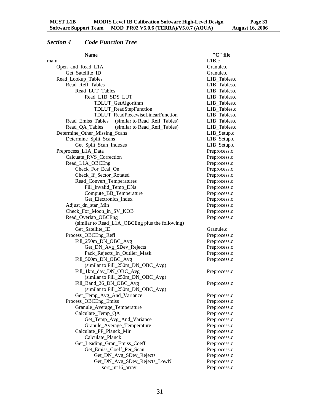# <span id="page-33-0"></span>*Section 4 Code Function Tree*

| <b>Name</b>                                        | "C" file     |
|----------------------------------------------------|--------------|
| main                                               | L1B.c        |
| Open_and_Read_L1A                                  | Granule.c    |
| Get_Satellite_ID                                   | Granule.c    |
| Read_Lookup_Tables                                 | L1B_Tables.c |
| Read_Refl_Tables                                   | L1B_Tables.c |
| Read_LUT_Tables                                    | L1B_Tables.c |
| Read_L1B_SDS_LUT                                   | L1B_Tables.c |
| TDLUT_GetAlgorithm                                 | L1B_Tables.c |
| TDLUT_ReadStepFunction                             | L1B_Tables.c |
| TDLUT_ReadPiecewiseLinearFunction                  | L1B_Tables.c |
| (similar to Read_Refl_Tables)<br>Read_Emiss_Tables | L1B_Tables.c |
| Read_QA_Tables<br>(similar to Read_Refl_Tables)    | L1B_Tables.c |
| Determine_Other_Missing_Scans                      | L1B_Setup.c  |
| Determine_Split_Scans                              | L1B_Setup.c  |
| Get_Split_Scan_Indexes                             | L1B_Setup.c  |
| Preprocess_L1A_Data                                | Preprocess.c |
| Calcuate_RVS_Correction                            | Preprocess.c |
| Read_L1A_OBCEng                                    | Preprocess.c |
| Check_For_Ecal_On                                  | Preprocess.c |
| Check_If_Sector_Rotated                            | Preprocess.c |
| Read_Convert_Temperatures                          | Preprocess.c |
| Fill_Invalid_Temp_DNs                              | Preprocess.c |
| Compute_BB_Temperature                             | Preprocess.c |
| Get_Electronics_index                              | Preprocess.c |
| Adjust_dn_star_Min                                 | Preprocess.c |
| Check_For_Moon_in_SV_KOB                           | Preprocess.c |
| Read_Overlap_OBCEng                                | Preprocess.c |
| (similar to Read_L1A_OBCEng plus the following)    |              |
| Get_Satellite_ID                                   | Granule.c    |
| Process_OBCEng_Refl                                | Preprocess.c |
| Fill_250m_DN_OBC_Avg                               | Preprocess.c |
| Get_DN_Avg_SDev_Rejects                            | Preprocess.c |
| Pack_Rejects_In_Outlier_Mask                       | Preprocess.c |
| Fill_500m_DN_OBC_Avg                               | Preprocess.c |
| (similar to Fill_250m_DN_OBC_Avg)                  |              |
| Fill_1km_day_DN_OBC_Avg                            | Preprocess.c |
| (similar to Fill_250m_DN_OBC_Avg)                  |              |
| Fill_Band_26_DN_OBC_Avg                            | Preprocess.c |
| (similar to Fill_250m_DN_OBC_Avg)                  |              |
| Get_Temp_Avg_And_Variance                          | Preprocess.c |
| Process_OBCEng_Emiss                               | Preprocess.c |
| Granule_Average_Temperature                        | Preprocess.c |
| Calculate_Temp_QA                                  | Preprocess.c |
| Get_Temp_Avg_And_Variance                          | Preprocess.c |
| Granule_Average_Temperature                        | Preprocess.c |
| Calculate_PP_Planck_Mir                            | Preprocess.c |
| Calculate_Planck                                   | Preprocess.c |
| Get_Leading_Gran_Emiss_Coeff                       | Preprocess.c |
| Get_Emiss_Coeff_Per_Scan                           | Preprocess.c |
| Get_DN_Avg_SDev_Rejects                            | Preprocess.c |
| Get_DN_Avg_SDev_Rejects_LowN                       | Preprocess.c |
| sort_int16_array                                   | Preprocess.c |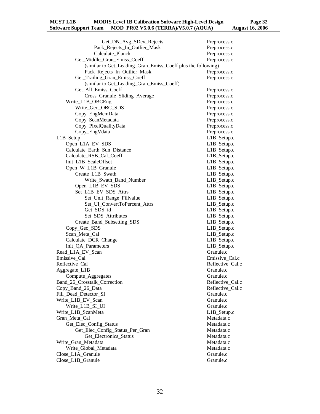Get\_DN\_Avg\_SDev\_Rejects Preprocess.c Pack\_Rejects\_In\_Outlier\_Mask Preprocess.c Calculate Planck Preprocess.c Get\_Middle\_Gran\_Emiss\_Coeff Preprocess.c (similar to Get\_Leading\_Gran\_Emiss\_Coeff plus the following) Pack\_Rejects\_In\_Outlier\_Mask Preprocess.c Get\_Trailing\_Gran\_Emiss\_Coeff Preprocess.c (similar to Get\_Leading\_Gran\_Emiss\_Coeff) Get All Emiss Coeff Preprocess.c Cross\_Granule\_Sliding\_Average Preprocess.c Write L1B OBCEng Preprocess.c Write\_Geo\_OBC\_SDS Preprocess.c Copy\_EngMemData Preprocess.c Copy ScanMetadata Preprocess.c Copy\_PixelQualityData Preprocess.c Copy\_EngVdata Preprocess.c L1B Setup.com L1B Setup.com L1B Setup.com L1B Setup.com L1B Setup.com L1B Setup.com L1B Setup.com L1B Setup.com L1B Setup.com L1B Setup.com L1B Setup.com L1B Setup.com L1B Setup.com L1B Setup.com L1B Setup.com L1B Setup.co Open\_L1A\_EV\_SDS L1B\_Setup.c Calculate\_Earth\_Sun\_Distance L1B\_Setup.c Calculate RSB Cal Coeff L1B Setup.c Init\_L1B\_ScaleOffset L1B\_Setup.c Open\_W\_L1B\_Granule L1B\_Setup.c Create L1B Swath L1B Setup.c Write\_Swath\_Band\_Number L1B\_Setup.c Open\_L1B\_EV\_SDS L1B\_Setup.c Set L1B EV SDS Attrs L1B Setup.c Set\_Unit\_Range\_Fillvalue L1B\_Setup.c Set\_UI\_ConvertToPercent\_Attrs L1B\_Setup.c Get SDS id L1B Setup.c Set\_SDS\_Attributes L1B\_Setup.c Create\_Band\_Subsetting\_SDS L1B\_Setup.c Copy Geo SDS L1B Setup.c Scan\_Meta\_Cal L1B\_Setup.c Calculate\_DCR\_Change L1B\_Setup.c Init\_QA\_Parameters L1B\_Setup.c Read\_L1A\_EV\_Scan Granule.c Emissive\_Cal Emissive\_Cal.c Reflective\_Cal Reflective\_Cal.c Aggregate\_L1B Granule.c Compute\_Aggregates Granule.c Band\_26\_Crosstalk\_Correction Reflective\_Cal.c Copy Band 26 Data Reflective Cal.c Fill\_Dead\_Detector\_SI Granule.c Write L1B EV Scan Granule.c Write L1B SI UI Granule.c Write\_L1B\_ScanMeta L1B\_Setup.c Gran Meta Cal Metadata.c Get Elec Config\_Status Metadata.c Get\_Elec\_Config\_Status\_Per\_Gran Metadata.c Get\_Electronics\_Status Metadata.c Write Gran Metadata **Metadata** Metadata.c

Write\_Global\_Metadata Metadata.c Close L1A Granule.c Granule Granule.c Close\_L1B\_Granule Granule Granule.c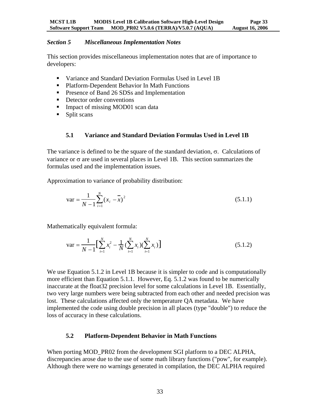#### <span id="page-35-0"></span>*Section 5 Miscellaneous Implementation Notes*

This section provides miscellaneous implementation notes that are of importance to developers:

- Variance and Standard Deviation Formulas Used in Level 1B
- Platform-Dependent Behavior In Math Functions
- **Presence of Band 26 SDSs and Implementation**
- Detector order conventions
- Impact of missing MOD01 scan data
- Split scans

#### **5.1 Variance and Standard Deviation Formulas Used in Level 1B**

The variance is defined to be the square of the standard deviation,  $\sigma$ . Calculations of variance or  $\sigma$  are used in several places in Level 1B. This section summarizes the formulas used and the implementation issues.

Approximation to variance of probability distribution:

$$
\text{var} = \frac{1}{N - 1} \sum_{i=1}^{N} (x_i - \overline{x})^2
$$
 (5.1.1)

Mathematically equivalent formula:

$$
\text{var} = \frac{1}{N-1} \Big[ \sum_{i=1}^{N} x_i^2 - \frac{1}{N} \big( \sum_{i=1}^{N} x_i \big) \big( \sum_{i=1}^{N} x_i \big) \Big] \tag{5.1.2}
$$

We use Equation 5.1.2 in Level 1B because it is simpler to code and is computationally more efficient than Equation 5.1.1. However, Eq. 5.1.2 was found to be numerically inaccurate at the float32 precision level for some calculations in Level 1B. Essentially, two very large numbers were being subtracted from each other and needed precision was lost. These calculations affected only the temperature QA metadata. We have implemented the code using double precision in all places (type "double") to reduce the loss of accuracy in these calculations.

#### **5.2 Platform-Dependent Behavior in Math Functions**

When porting MOD\_PR02 from the development SGI platform to a DEC ALPHA, discrepancies arose due to the use of some math library functions ("pow", for example). Although there were no warnings generated in compilation, the DEC ALPHA required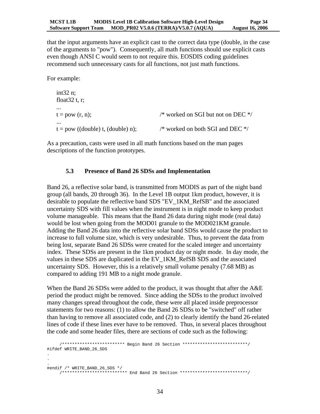<span id="page-36-0"></span>that the input arguments have an explicit cast to the correct data type (double, in the case of the arguments to "pow"). Consequently, all math functions should use explicit casts even though ANSI C would seem to not require this. EOSDIS coding guidelines recommend such unnecessary casts for all functions, not just math functions.

For example:

```
int32 n; 
float 32 t, r;
... 
t = pow (r, n); /* worked on SGI but not on DEC */
... 
t = pow ((double) t, (double) n); /* worked on both SGI and DEC */
```
As a precaution, casts were used in all math functions based on the man pages descriptions of the function prototypes.

#### **5.3 Presence of Band 26 SDSs and Implementation**

Band 26, a reflective solar band, is transmitted from MODIS as part of the night band group (all bands, 20 through 36). In the Level 1B output 1km product, however, it is desirable to populate the reflective band SDS "EV\_1KM\_RefSB" and the associated uncertainty SDS with fill values when the instrument is in night mode to keep product volume manageable. This means that the Band 26 data during night mode (real data) would be lost when going from the MOD01 granule to the MOD021KM granule. Adding the Band 26 data into the reflective solar band SDSs would cause the product to increase to full volume size, which is very undesirable. Thus, to prevent the data from being lost, separate Band 26 SDSs were created for the scaled integer and uncertainty index. These SDSs are present in the 1km product day or night mode. In day mode, the values in these SDS are duplicated in the EV\_1KM\_RefSB SDS and the associated uncertainty SDS. However, this is a relatively small volume penalty (7.68 MB) as compared to adding 191 MB to a night mode granule.

When the Band 26 SDSs were added to the product, it was thought that after the A&E period the product might be removed. Since adding the SDSs to the product involved many changes spread throughout the code, these were all placed inside preprocessor statements for two reasons: (1) to allow the Band 26 SDSs to be "switched" off rather than having to remove all associated code, and (2) to clearly identify the band 26-related lines of code if these lines ever have to be removed. Thus, in several places throughout the code and some header files, there are sections of code such as the following:

```
 /************************* Begin Band 26 Section **************************/ 
#ifdef WRITE_BAND_26_SDS 
. 
. 
. 
#endif /* WRITE_BAND_26_SDS */ 
      /************************** End Band 26 Section ***************************/
```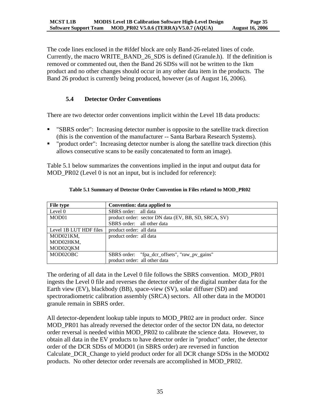<span id="page-37-0"></span>The code lines enclosed in the #ifdef block are only Band-26-related lines of code. Currently, the macro WRITE\_BAND\_26\_SDS is defined (Granule.h). If the definition is removed or commented out, then the Band 26 SDSs will not be written to the 1km product and no other changes should occur in any other data item in the products. The Band 26 product is currently being produced, however (as of August 16, 2006).

## **5.4 Detector Order Conventions**

There are two detector order conventions implicit within the Level 1B data products:

- "SBRS order": Increasing detector number is opposite to the satellite track direction (this is the convention of the manufacturer -- Santa Barbara Research Systems).
- " "product order": Increasing detector number is along the satellite track direction (this allows consecutive scans to be easily concatenated to form an image).

Table 5.1 below summarizes the conventions implied in the input and output data for MOD PR02 (Level 0 is not an input, but is included for reference):

| File type              | Convention: data applied to                          |
|------------------------|------------------------------------------------------|
| Level 0                | SBRS order: all data                                 |
| MOD01                  | product order: sector DN data (EV, BB, SD, SRCA, SV) |
|                        | SBRS order: all other data                           |
| Level 1B LUT HDF files | product order: all data                              |
| MOD021KM,              | product order: all data                              |
| MOD02HKM,              |                                                      |
| MOD02QKM               |                                                      |
| MOD02OBC               | SBRS order: "fpa_dcr_offsets", "raw_pv_gains"        |
|                        | product order: all other data                        |

#### **Table 5.1 Summary of Detector Order Convention in Files related to MOD\_PR02**

The ordering of all data in the Level 0 file follows the SBRS convention. MOD\_PR01 ingests the Level 0 file and reverses the detector order of the digital number data for the Earth view (EV), blackbody (BB), space-view (SV), solar diffuser (SD) and spectroradiometric calibration assembly (SRCA) sectors. All other data in the MOD01 granule remain in SBRS order.

All detector-dependent lookup table inputs to MOD\_PR02 are in product order. Since MOD\_PR01 has already reversed the detector order of the sector DN data, no detector order reversal is needed within MOD\_PR02 to calibrate the science data. However, to obtain all data in the EV products to have detector order in "product" order, the detector order of the DCR SDSs of MOD01 (in SBRS order) are reversed in function Calculate\_DCR\_Change to yield product order for all DCR change SDSs in the MOD02 products. No other detector order reversals are accomplished in MOD\_PR02.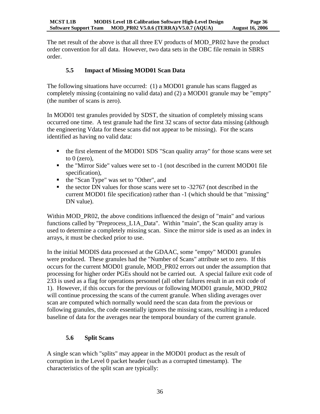<span id="page-38-0"></span>The net result of the above is that all three EV products of MOD\_PR02 have the product order convention for all data. However, two data sets in the OBC file remain in SBRS order.

## **5.5 Impact of Missing MOD01 Scan Data**

The following situations have occurred: (1) a MOD01 granule has scans flagged as completely missing (containing no valid data) and (2) a MOD01 granule may be "empty" (the number of scans is zero).

In MOD01 test granules provided by SDST, the situation of completely missing scans occurred one time. A test granule had the first 32 scans of sector data missing (although the engineering Vdata for these scans did not appear to be missing). For the scans identified as having no valid data:

- the first element of the MOD01 SDS "Scan quality array" for those scans were set to  $0$  (zero),
- the "Mirror Side" values were set to -1 (not described in the current MOD01 file specification),
- the "Scan Type" was set to "Other", and
- $\bullet$  the sector DN values for those scans were set to -32767 (not described in the current MOD01 file specification) rather than -1 (which should be that "missing" DN value).

Within MOD PR02, the above conditions influenced the design of "main" and various functions called by "Preprocess\_L1A\_Data". Within "main", the Scan quality array is used to determine a completely missing scan. Since the mirror side is used as an index in arrays, it must be checked prior to use.

In the initial MODIS data processed at the GDAAC, some "empty" MOD01 granules were produced. These granules had the "Number of Scans" attribute set to zero. If this occurs for the current MOD01 granule, MOD\_PR02 errors out under the assumption that processing for higher order PGEs should not be carried out. A special failure exit code of 233 is used as a flag for operations personnel (all other failures result in an exit code of 1). However, if this occurs for the previous or following MOD01 granule, MOD\_PR02 will continue processing the scans of the current granule. When sliding averages over scan are computed which normally would need the scan data from the previous or following granules, the code essentially ignores the missing scans, resulting in a reduced baseline of data for the averages near the temporal boundary of the current granule.

### **5.6 Split Scans**

A single scan which "splits" may appear in the MOD01 product as the result of corruption in the Level 0 packet header (such as a corrupted timestamp). The characteristics of the split scan are typically: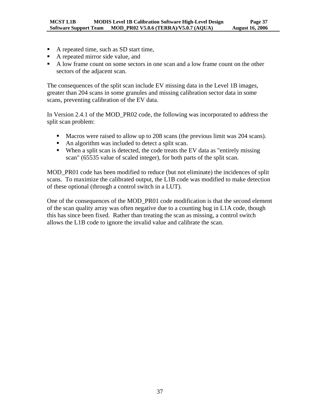- A repeated time, such as SD start time,
- A repeated mirror side value, and
- A low frame count on some sectors in one scan and a low frame count on the other sectors of the adjacent scan.

The consequences of the split scan include EV missing data in the Level 1B images, greater than 204 scans in some granules and missing calibration sector data in some scans, preventing calibration of the EV data.

In Version 2.4.1 of the MOD\_PR02 code, the following was incorporated to address the split scan problem:

- Macros were raised to allow up to 208 scans (the previous limit was 204 scans).
- An algorithm was included to detect a split scan.
- When a split scan is detected, the code treats the EV data as "entirely missing scan" (65535 value of scaled integer), for both parts of the split scan.

MOD\_PR01 code has been modified to reduce (but not eliminate) the incidences of split scans. To maximize the calibrated output, the L1B code was modified to make detection of these optional (through a control switch in a LUT).

One of the consequences of the MOD\_PR01 code modification is that the second element of the scan quality array was often negative due to a counting bug in L1A code, though this has since been fixed. Rather than treating the scan as missing, a control switch allows the L1B code to ignore the invalid value and calibrate the scan.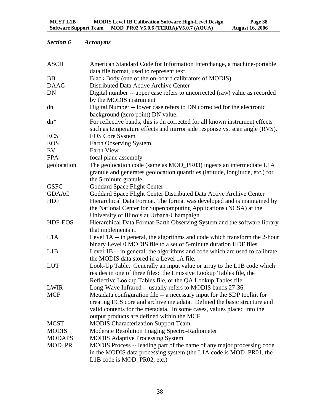# <span id="page-40-0"></span>*Section 6 Acronyms*

| <b>ASCII</b>   | American Standard Code for Information Interchange, a machine-portable                                                                              |
|----------------|-----------------------------------------------------------------------------------------------------------------------------------------------------|
|                | data file format, used to represent text.                                                                                                           |
| <b>BB</b>      | Black Body (one of the on-board calibrators of MODIS)                                                                                               |
| <b>DAAC</b>    | Distributed Data Active Archive Center                                                                                                              |
| <b>DN</b>      | Digital number -- upper case refers to uncorrected (raw) value as recorded<br>by the MODIS instrument                                               |
| dn             | Digital Number -- lower case refers to DN corrected for the electronic                                                                              |
|                | background (zero point) DN value.                                                                                                                   |
| $dn*$          | For reflective bands, this is dn corrected for all known instrument effects                                                                         |
|                | such as temperature effects and mirror side response vs. scan angle (RVS).                                                                          |
| <b>ECS</b>     | <b>EOS</b> Core System                                                                                                                              |
| <b>EOS</b>     | Earth Observing System.                                                                                                                             |
| EV             | <b>Earth View</b>                                                                                                                                   |
| <b>FPA</b>     | focal plane assembly                                                                                                                                |
| geolocation    | The geolocation code (same as MOD_PR03) ingests an intermediate L1A<br>granule and generates geolocation quantities (latitude, longitude, etc.) for |
|                | the 5-minute granule.                                                                                                                               |
| <b>GSFC</b>    | <b>Goddard Space Flight Center</b>                                                                                                                  |
| <b>GDAAC</b>   | Goddard Space Flight Center Distributed Data Active Archive Center                                                                                  |
| <b>HDF</b>     | Hierarchical Data Format. The format was developed and is maintained by<br>the National Center for Supercomputing Applications (NCSA) at the        |
|                | University of Illinois at Urbana-Champaign                                                                                                          |
| <b>HDF-EOS</b> | Hierarchical Data Format-Earth Observing System and the software library                                                                            |
|                | that implements it.                                                                                                                                 |
| L1A            | Level 1A -- in general, the algorithms and code which transform the 2-hour<br>binary Level 0 MODIS file to a set of 5-minute duration HDF files.    |
| L1B            | Level 1B -- in general, the algorithms and code which are used to calibrate<br>the MODIS data stored in a Level 1A file.                            |
| <b>LUT</b>     | Look-Up Table. Generally an input value or array to the L1B code which                                                                              |
|                | resides in one of three files: the Emissive Lookup Tables file, the                                                                                 |
|                | Reflective Lookup Tables file, or the QA Lookup Tables file.                                                                                        |
| <b>LWIR</b>    | Long-Wave Infrared -- usually refers to MODIS bands 27-36.                                                                                          |
| <b>MCF</b>     | Metadata configuration file -- a necessary input for the SDP toolkit for                                                                            |
|                | creating ECS core and archive metadata. Defined the basic structure and                                                                             |
|                | valid contents for the metadata. In some cases, values placed into the                                                                              |
|                | output products are defined within the MCF.                                                                                                         |
| <b>MCST</b>    | <b>MODIS</b> Characterization Support Team                                                                                                          |
| <b>MODIS</b>   | Moderate Resolution Imaging Spectro-Radiometer                                                                                                      |
| <b>MODAPS</b>  | <b>MODIS Adaptive Processing System</b>                                                                                                             |
| MOD_PR         | MODIS Process -- leading part of the name of any major processing code                                                                              |
|                | in the MODIS data processing system (the L1A code is MOD_PR01, the                                                                                  |
|                | L1B code is MOD_PR02, etc.)                                                                                                                         |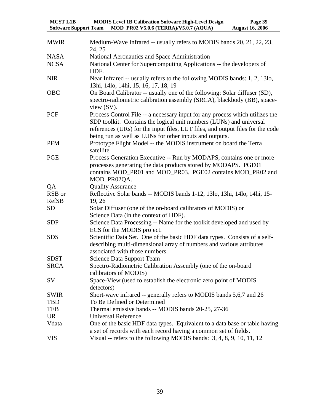| <b>MCST L1B</b>              | <b>MODIS Level 1B Calibration Software High-Level Design</b> | Page 39                |
|------------------------------|--------------------------------------------------------------|------------------------|
| <b>Software Support Team</b> | MOD_PR02 V5.0.6 (TERRA)/V5.0.7 (AQUA)                        | <b>August 16, 2006</b> |

| <b>MWIR</b>  | Medium-Wave Infrared -- usually refers to MODIS bands 20, 21, 22, 23,<br>24, 25                                                                                                                                                                                                                  |
|--------------|--------------------------------------------------------------------------------------------------------------------------------------------------------------------------------------------------------------------------------------------------------------------------------------------------|
| <b>NASA</b>  | National Aeronautics and Space Administration                                                                                                                                                                                                                                                    |
| <b>NCSA</b>  | National Center for Supercomputing Applications -- the developers of<br>HDF.                                                                                                                                                                                                                     |
| <b>NIR</b>   | Near Infrared -- usually refers to the following MODIS bands: 1, 2, 13lo,<br>13hi, 14lo, 14hi, 15, 16, 17, 18, 19                                                                                                                                                                                |
| OBC          | On Board Calibrator -- usually one of the following: Solar diffuser (SD),<br>spectro-radiometric calibration assembly (SRCA), blackbody (BB), space-<br>view (SV).                                                                                                                               |
| PCF          | Process Control File -- a necessary input for any process which utilizes the<br>SDP toolkit. Contains the logical unit numbers (LUNs) and universal<br>references (URs) for the input files, LUT files, and output files for the code<br>being run as well as LUNs for other inputs and outputs. |
| <b>PFM</b>   | Prototype Flight Model -- the MODIS instrument on board the Terra<br>satellite.                                                                                                                                                                                                                  |
| <b>PGE</b>   | Process Generation Executive -- Run by MODAPS, contains one or more<br>processes generating the data products stored by MODAPS. PGE01<br>contains MOD_PR01 and MOD_PR03. PGE02 contains MOD_PR02 and<br>MOD_PR02QA.                                                                              |
| QA           | <b>Quality Assurance</b>                                                                                                                                                                                                                                                                         |
| RSB or       | Reflective Solar bands -- MODIS bands 1-12, 13lo, 13hi, 14lo, 14hi, 15-                                                                                                                                                                                                                          |
| <b>RefSB</b> | 19, 26                                                                                                                                                                                                                                                                                           |
| <b>SD</b>    | Solar Diffuser (one of the on-board calibrators of MODIS) or<br>Science Data (in the context of HDF).                                                                                                                                                                                            |
| <b>SDP</b>   | Science Data Processing -- Name for the toolkit developed and used by<br>ECS for the MODIS project.                                                                                                                                                                                              |
| <b>SDS</b>   | Scientific Data Set. One of the basic HDF data types. Consists of a self-<br>describing multi-dimensional array of numbers and various attributes<br>associated with those numbers.                                                                                                              |
| <b>SDST</b>  | <b>Science Data Support Team</b>                                                                                                                                                                                                                                                                 |
| <b>SRCA</b>  | Spectro-Radiometric Calibration Assembly (one of the on-board<br>calibrators of MODIS)                                                                                                                                                                                                           |
| SV           | Space-View (used to establish the electronic zero point of MODIS<br>detectors)                                                                                                                                                                                                                   |
| <b>SWIR</b>  | Short-wave infrared -- generally refers to MODIS bands 5,6,7 and 26                                                                                                                                                                                                                              |
| <b>TBD</b>   | To Be Defined or Determined                                                                                                                                                                                                                                                                      |
| <b>TEB</b>   | Thermal emissive bands -- MODIS bands 20-25, 27-36                                                                                                                                                                                                                                               |
| <b>UR</b>    | <b>Universal Reference</b>                                                                                                                                                                                                                                                                       |
| Vdata        | One of the basic HDF data types. Equivalent to a data base or table having<br>a set of records with each record having a common set of fields.                                                                                                                                                   |
| <b>VIS</b>   | Visual -- refers to the following MODIS bands: 3, 4, 8, 9, 10, 11, 12                                                                                                                                                                                                                            |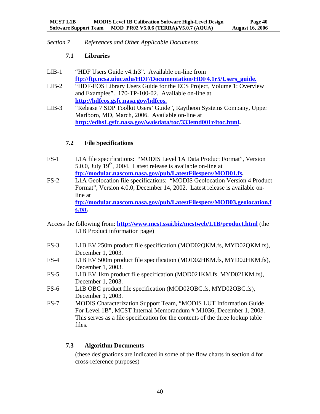<span id="page-42-0"></span>*Section 7 References and Other Applicable Documents*

#### **7.1 Libraries**

- LIB-1 "HDF Users Guide v4.1r3". Available on-line from **[ftp://ftp.ncsa.uiuc.edu/HDF/Documentation/HDF4.1r5/Users\\_guide.](ftp://ftp.ncsa.uiuc.edu/HDF/Documentation/HDF4.1r5/Users_guide)**
- LIB-2 "HDF-EOS Library Users Guide for the ECS Project, Volume 1: Overview and Examples". 170-TP-100-02. Available on-line at **<http://hdfeos.gsfc.nasa.gov/hdfeos>.**
- LIB-3 "Release 7 SDP Toolkit Users' Guide", Raytheon Systems Company, Upper Marlboro, MD, March, 2006. Available on-line at **[http://edhs1.gsfc.nasa.gov/waisdata/toc/333emd001r4toc.html.](http://edhs1.gsfc.nasa.gov/waisdata/toc/333emd001r4toc.html)**

### **7.2 File Specifications**

- FS-1 L1A file specifications: "MODIS Level 1A Data Product Format", Version 5.0.0, July 19th, 2004. Latest release is available on-line at **<ftp://modular.nascom.nasa.gov/pub/LatestFilespecs/MOD01.fs>.**
- FS-2 L1A Geolocation file specifications: "MODIS Geolocation Version 4 Product Format", Version 4.0.0, December 14, 2002. Latest release is available online at **[ftp://modular.nascom.nasa.gov/pub/LatestFilespecs/MOD03.geolocation.f](ftp://modular.nascom.nasa.gov/pub/LatestFilespecs/MOD03.geolocation.fs.txt) [s.txt.](ftp://modular.nascom.nasa.gov/pub/LatestFilespecs/MOD03.geolocation.fs.txt)**
- Access the following from: **<http://www.mcst.ssai.biz/mcstweb/L1B/product.html>** (the L1B Product information page)
- FS-3 L1B EV 250m product file specification (MOD02QKM.fs, MYD02QKM.fs), December 1, 2003.
- FS-4 L1B EV 500m product file specification (MOD02HKM.fs, MYD02HKM.fs), December 1, 2003.
- FS-5 L1B EV 1km product file specification (MOD021KM.fs, MYD021KM.fs), December 1, 2003.
- FS-6 L1B OBC product file specification (MOD02OBC.fs, MYD02OBC.fs), December 1, 2003.
- FS-7 MODIS Characterization Support Team, "MODIS LUT Information Guide For Level 1B", MCST Internal Memorandum # M1036, December 1, 2003. This serves as a file specification for the contents of the three lookup table files.

### **7.3 Algorithm Documents**

(these designations are indicated in some of the flow charts in section 4 for cross-reference purposes)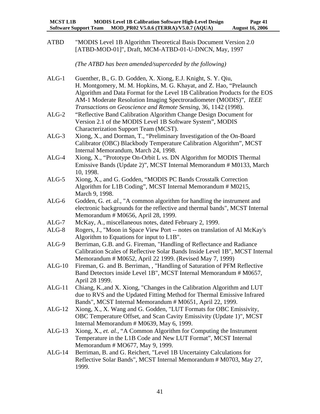ATBD "MODIS Level 1B Algorithm Theoretical Basis Document Version 2.0 [ATBD-MOD-01]", Draft, MCM-ATBD-01-U-DNCN, May, 1997

*(The ATBD has been amended/superceded by the following)* 

- ALG-1 Guenther, B., G. D. Godden, X. Xiong, E.J. Knight, S. Y. Qiu, H. Montgomery, M. M. Hopkins, M. G. Khayat, and Z. Hao, "Prelaunch Algorithm and Data Format for the Level 1B Calibration Products for the EOS AM-1 Moderate Resolution Imaging Spectroradiometer (MODIS)", *IEEE Transactions on Geoscience and Remote Sensing*, 36, 1142 (1998).
- ALG-2 "Reflective Band Calibration Algorithm Change Design Document for Version 2.1 of the MODIS Level 1B Software System", MODIS Characterization Support Team (MCST).
- ALG-3 Xiong, X., and Dorman, T., "Preliminary Investigation of the On-Board Calibrator (OBC) Blackbody Temperature Calibration Algorithm", MCST Internal Memorandum, March 24, 1998.
- ALG-4 Xiong, X., "Prototype On-Orbit L *vs.* DN Algorithm for MODIS Thermal Emissive Bands (Update 2)", MCST Internal Memorandum # M0133, March 10, 1998.
- ALG-5 Xiong, X., and G. Godden, "MODIS PC Bands Crosstalk Correction Algorithm for L1B Coding", MCST Internal Memorandum # M0215, March 9, 1998.
- ALG-6 Godden, G. *et. al.*, "A common algorithm for handling the instrument and electronic backgrounds for the reflective and thermal bands", MCST Internal Memorandum # M0656, April 28, 1999.
- ALG-7 McKay, A., miscellaneous notes, dated February 2, 1999.
- ALG-8 Rogers, J., "Moon in Space View Port -- notes on translation of Al McKay's Algorithm to Equations for input to L1B".
- ALG-9 Berriman, G.B. and G. Fireman, "Handling of Reflectance and Radiance Calibration Scales of Reflective Solar Bands Inside Level 1B", MCST Internal Memorandum # M0652, April 22 1999. (Revised May 7, 1999)
- ALG-10 Fireman, G. and B. Berriman, , "Handling of Saturation of PFM Reflective Band Detectors inside Level 1B", MCST Internal Memorandum # M0657, April 28 1999.
- ALG-11 Chiang, K.,and X. Xiong, "Changes in the Calibration Algorithm and LUT due to RVS and the Updated Fitting Method for Thermal Emissive Infrared Bands", MCST Internal Memorandum # M0651, April 22, 1999.
- ALG-12 Xiong, X., X. Wang and G. Godden, "LUT Formats for OBC Emissivity, OBC Temperature Offset, and Scan Cavity Emissivity (Update 1)", MCST Internal Memorandum # M0639, May 6, 1999.
- ALG-13 Xiong, X., *et. al.*, "A Common Algorithm for Computing the Instrument Temperature in the L1B Code and New LUT Format", MCST Internal Memorandum # MO677, May 9, 1999.
- ALG-14 Berriman, B. and G. Reichert, "Level 1B Uncertainty Calculations for Reflective Solar Bands", MCST Internal Memorandum # M0703, May 27, 1999.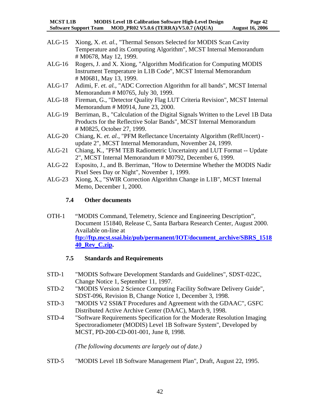- <span id="page-44-0"></span>ALG-15 Xiong, X. *et. al.*, "Thermal Sensors Selected for MODIS Scan Cavity Temperature and its Computing Algorithm", MCST Internal Memorandum # M0678, May 12, 1999.
- ALG-16 Rogers, J. and X. Xiong, "Algorithm Modification for Computing MODIS Instrument Temperature in L1B Code", MCST Internal Memorandum # M0681, May 13, 1999.
- ALG-17 Adimi, F. *et. al.*, "ADC Correction Algorithm for all bands", MCST Internal Memorandum # M0765, July 30, 1999.
- ALG-18 Fireman, G., "Detector Quality Flag LUT Criteria Revision", MCST Internal Memorandum # M0914, June 23, 2000.
- ALG-19 Berriman, B., "Calculation of the Digital Signals Written to the Level 1B Data Products for the Reflective Solar Bands", MCST Internal Memorandum # M0825, October 27, 1999.
- ALG-20 Chiang, K. *et. al.*, "PFM Reflectance Uncertainty Algorithm (ReflUncert) update 2", MCST Internal Memorandum, November 24, 1999.
- ALG-21 Chiang, K., "PFM TEB Radiometric Uncertainty and LUT Format -- Update 2", MCST Internal Memorandum # M0792, December 6, 1999.
- ALG-22 Esposito, J., and B. Berriman, "How to Determine Whether the MODIS Nadir Pixel Sees Day or Night", November 1, 1999.
- ALG-23 Xiong, X., "SWIR Correction Algorithm Change in L1B", MCST Internal Memo, December 1, 2000.

#### **7.4 Other documents**

OTH-1 "MODIS Command, Telemetry, Science and Engineering Description", Document 151840, Release C, Santa Barbara Research Center, August 2000. Available on-line at **[ftp://ftp.mcst.ssai.biz/pub/permanent/IOT/document\\_archive/SBRS\\_1518](ftp://ftp.mcst.ssai.biz/pub/permanent/IOT/document_archive/SBRS_151840_Rev_C.zip) [40\\_Rev\\_C.zip.](ftp://ftp.mcst.ssai.biz/pub/permanent/IOT/document_archive/SBRS_151840_Rev_C.zip)**

### **7.5 Standards and Requirements**

- STD-1 "MODIS Software Development Standards and Guidelines", SDST-022C, Change Notice 1, September 11, 1997.
- STD-2 "MODIS Version 2 Science Computing Facility Software Delivery Guide", SDST-096, Revision B, Change Notice 1, December 3, 1998.
- STD-3 "MODIS V2 SSI&T Procedures and Agreement with the GDAAC", GSFC Distributed Active Archive Center (DAAC), March 9, 1998.
- STD-4 "Software Requirements Specification for the Moderate Resolution Imaging Spectroradiometer (MODIS) Level 1B Software System", Developed by MCST, PD-200-CD-001-001, June 8, 1998.

*(The following documents are largely out of date.)* 

STD-5 "MODIS Level 1B Software Management Plan", Draft, August 22, 1995.